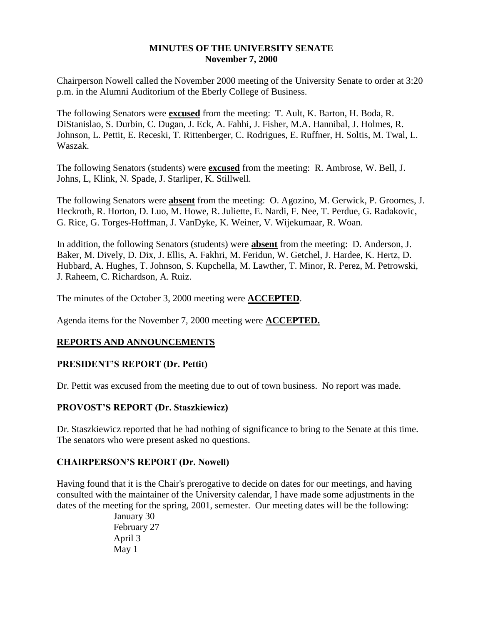# **MINUTES OF THE UNIVERSITY SENATE November 7, 2000**

Chairperson Nowell called the November 2000 meeting of the University Senate to order at 3:20 p.m. in the Alumni Auditorium of the Eberly College of Business.

The following Senators were **excused** from the meeting: T. Ault, K. Barton, H. Boda, R. DiStanislao, S. Durbin, C. Dugan, J. Eck, A. Fahhi, J. Fisher, M.A. Hannibal, J. Holmes, R. Johnson, L. Pettit, E. Receski, T. Rittenberger, C. Rodrigues, E. Ruffner, H. Soltis, M. Twal, L. Waszak.

The following Senators (students) were **excused** from the meeting: R. Ambrose, W. Bell, J. Johns, L, Klink, N. Spade, J. Starliper, K. Stillwell.

The following Senators were **absent** from the meeting: O. Agozino, M. Gerwick, P. Groomes, J. Heckroth, R. Horton, D. Luo, M. Howe, R. Juliette, E. Nardi, F. Nee, T. Perdue, G. Radakovic, G. Rice, G. Torges-Hoffman, J. VanDyke, K. Weiner, V. Wijekumaar, R. Woan.

In addition, the following Senators (students) were **absent** from the meeting: D. Anderson, J. Baker, M. Dively, D. Dix, J. Ellis, A. Fakhri, M. Feridun, W. Getchel, J. Hardee, K. Hertz, D. Hubbard, A. Hughes, T. Johnson, S. Kupchella, M. Lawther, T. Minor, R. Perez, M. Petrowski, J. Raheem, C. Richardson, A. Ruiz.

The minutes of the October 3, 2000 meeting were **ACCEPTED**.

Agenda items for the November 7, 2000 meeting were **ACCEPTED.**

# **REPORTS AND ANNOUNCEMENTS**

# **PRESIDENT'S REPORT (Dr. Pettit)**

Dr. Pettit was excused from the meeting due to out of town business. No report was made.

# **PROVOST'S REPORT (Dr. Staszkiewicz)**

Dr. Staszkiewicz reported that he had nothing of significance to bring to the Senate at this time. The senators who were present asked no questions.

# **CHAIRPERSON'S REPORT (Dr. Nowell)**

Having found that it is the Chair's prerogative to decide on dates for our meetings, and having consulted with the maintainer of the University calendar, I have made some adjustments in the dates of the meeting for the spring, 2001, semester. Our meeting dates will be the following:

> January 30 February 27 April 3 May 1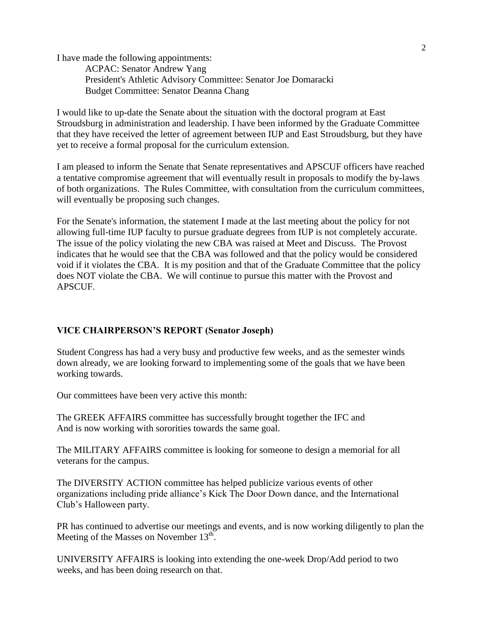I have made the following appointments:

ACPAC: Senator Andrew Yang President's Athletic Advisory Committee: Senator Joe Domaracki Budget Committee: Senator Deanna Chang

I would like to up-date the Senate about the situation with the doctoral program at East Stroudsburg in administration and leadership. I have been informed by the Graduate Committee that they have received the letter of agreement between IUP and East Stroudsburg, but they have yet to receive a formal proposal for the curriculum extension.

I am pleased to inform the Senate that Senate representatives and APSCUF officers have reached a tentative compromise agreement that will eventually result in proposals to modify the by-laws of both organizations. The Rules Committee, with consultation from the curriculum committees, will eventually be proposing such changes.

For the Senate's information, the statement I made at the last meeting about the policy for not allowing full-time IUP faculty to pursue graduate degrees from IUP is not completely accurate. The issue of the policy violating the new CBA was raised at Meet and Discuss. The Provost indicates that he would see that the CBA was followed and that the policy would be considered void if it violates the CBA. It is my position and that of the Graduate Committee that the policy does NOT violate the CBA. We will continue to pursue this matter with the Provost and APSCUF.

# **VICE CHAIRPERSON'S REPORT (Senator Joseph)**

Student Congress has had a very busy and productive few weeks, and as the semester winds down already, we are looking forward to implementing some of the goals that we have been working towards.

Our committees have been very active this month:

The GREEK AFFAIRS committee has successfully brought together the IFC and And is now working with sororities towards the same goal.

The MILITARY AFFAIRS committee is looking for someone to design a memorial for all veterans for the campus.

The DIVERSITY ACTION committee has helped publicize various events of other organizations including pride alliance's Kick The Door Down dance, and the International Club's Halloween party.

PR has continued to advertise our meetings and events, and is now working diligently to plan the Meeting of the Masses on November  $13^{\text{th}}$ .

UNIVERSITY AFFAIRS is looking into extending the one-week Drop/Add period to two weeks, and has been doing research on that.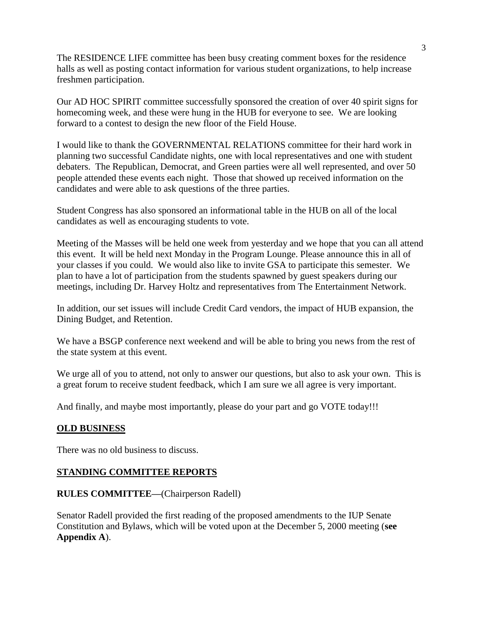The RESIDENCE LIFE committee has been busy creating comment boxes for the residence halls as well as posting contact information for various student organizations, to help increase freshmen participation.

Our AD HOC SPIRIT committee successfully sponsored the creation of over 40 spirit signs for homecoming week, and these were hung in the HUB for everyone to see. We are looking forward to a contest to design the new floor of the Field House.

I would like to thank the GOVERNMENTAL RELATIONS committee for their hard work in planning two successful Candidate nights, one with local representatives and one with student debaters. The Republican, Democrat, and Green parties were all well represented, and over 50 people attended these events each night. Those that showed up received information on the candidates and were able to ask questions of the three parties.

Student Congress has also sponsored an informational table in the HUB on all of the local candidates as well as encouraging students to vote.

Meeting of the Masses will be held one week from yesterday and we hope that you can all attend this event. It will be held next Monday in the Program Lounge. Please announce this in all of your classes if you could. We would also like to invite GSA to participate this semester. We plan to have a lot of participation from the students spawned by guest speakers during our meetings, including Dr. Harvey Holtz and representatives from The Entertainment Network.

In addition, our set issues will include Credit Card vendors, the impact of HUB expansion, the Dining Budget, and Retention.

We have a BSGP conference next weekend and will be able to bring you news from the rest of the state system at this event.

We urge all of you to attend, not only to answer our questions, but also to ask your own. This is a great forum to receive student feedback, which I am sure we all agree is very important.

And finally, and maybe most importantly, please do your part and go VOTE today!!!

# **OLD BUSINESS**

There was no old business to discuss.

# **STANDING COMMITTEE REPORTS**

# **RULES COMMITTEE—**(Chairperson Radell)

Senator Radell provided the first reading of the proposed amendments to the IUP Senate Constitution and Bylaws, which will be voted upon at the December 5, 2000 meeting (**see Appendix A**).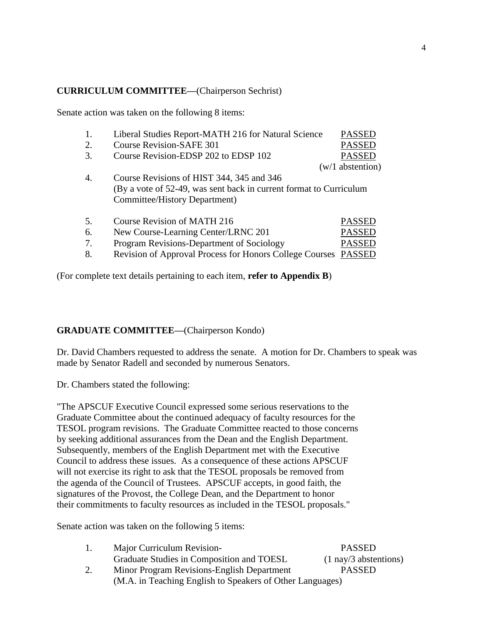# **CURRICULUM COMMITTEE—**(Chairperson Sechrist)

Senate action was taken on the following 8 items:

| 1. | Liberal Studies Report-MATH 216 for Natural Science                | <b>PASSED</b>      |
|----|--------------------------------------------------------------------|--------------------|
| 2. | <b>Course Revision-SAFE 301</b>                                    | <b>PASSED</b>      |
| 3. | Course Revision-EDSP 202 to EDSP 102                               | <b>PASSED</b>      |
|    |                                                                    | $(w/1$ abstention) |
| 4. | Course Revisions of HIST 344, 345 and 346                          |                    |
|    | (By a vote of 52-49, was sent back in current format to Curriculum |                    |
|    | Committee/History Department)                                      |                    |
| 5. | Course Revision of MATH 216                                        | <b>PASSED</b>      |
| 6. | New Course-Learning Center/LRNC 201                                | <b>PASSED</b>      |
| 7. | Program Revisions-Department of Sociology                          | <b>PASSED</b>      |
| 8. | <b>Revision of Approval Process for Honors College Courses</b>     | <b>PASSED</b>      |

(For complete text details pertaining to each item, **refer to Appendix B**)

# **GRADUATE COMMITTEE—**(Chairperson Kondo)

Dr. David Chambers requested to address the senate. A motion for Dr. Chambers to speak was made by Senator Radell and seconded by numerous Senators.

Dr. Chambers stated the following:

"The APSCUF Executive Council expressed some serious reservations to the Graduate Committee about the continued adequacy of faculty resources for the TESOL program revisions. The Graduate Committee reacted to those concerns by seeking additional assurances from the Dean and the English Department. Subsequently, members of the English Department met with the Executive Council to address these issues. As a consequence of these actions APSCUF will not exercise its right to ask that the TESOL proposals be removed from the agenda of the Council of Trustees. APSCUF accepts, in good faith, the signatures of the Provost, the College Dean, and the Department to honor their commitments to faculty resources as included in the TESOL proposals."

Senate action was taken on the following 5 items:

| Ι. | Major Curriculum Revision-                                | <b>PASSED</b>                   |
|----|-----------------------------------------------------------|---------------------------------|
|    | Graduate Studies in Composition and TOESL                 | $(1 \text{ nay/3}$ abstentions) |
| 2. | Minor Program Revisions-English Department                | <b>PASSED</b>                   |
|    | (M.A. in Teaching English to Speakers of Other Languages) |                                 |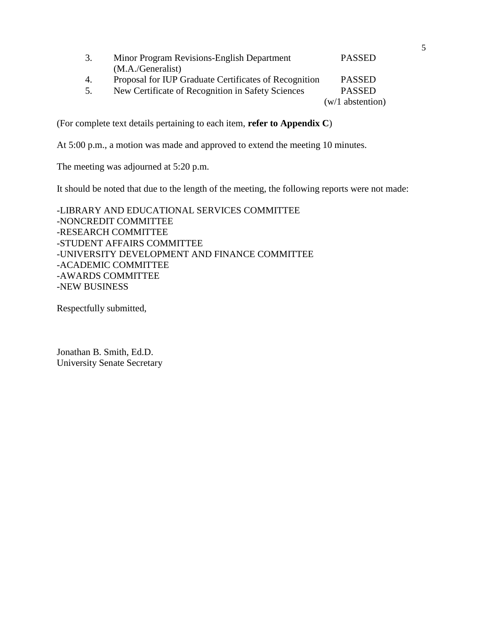| 3. | Minor Program Revisions-English Department            | <b>PASSED</b>      |
|----|-------------------------------------------------------|--------------------|
|    | (M.A./Generalist)                                     |                    |
| 4. | Proposal for IUP Graduate Certificates of Recognition | <b>PASSED</b>      |
| 5. | New Certificate of Recognition in Safety Sciences     | <b>PASSED</b>      |
|    |                                                       | $(w/1$ abstention) |

(For complete text details pertaining to each item, **refer to Appendix C**)

At 5:00 p.m., a motion was made and approved to extend the meeting 10 minutes.

The meeting was adjourned at 5:20 p.m.

It should be noted that due to the length of the meeting, the following reports were not made:

-LIBRARY AND EDUCATIONAL SERVICES COMMITTEE -NONCREDIT COMMITTEE -RESEARCH COMMITTEE -STUDENT AFFAIRS COMMITTEE -UNIVERSITY DEVELOPMENT AND FINANCE COMMITTEE -ACADEMIC COMMITTEE -AWARDS COMMITTEE -NEW BUSINESS

Respectfully submitted,

Jonathan B. Smith, Ed.D. University Senate Secretary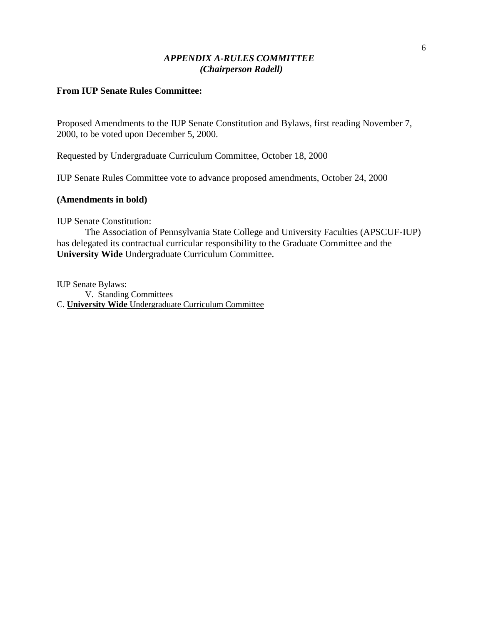# *APPENDIX A-RULES COMMITTEE (Chairperson Radell)*

# **From IUP Senate Rules Committee:**

Proposed Amendments to the IUP Senate Constitution and Bylaws, first reading November 7, 2000, to be voted upon December 5, 2000.

Requested by Undergraduate Curriculum Committee, October 18, 2000

IUP Senate Rules Committee vote to advance proposed amendments, October 24, 2000

#### **(Amendments in bold)**

IUP Senate Constitution:

The Association of Pennsylvania State College and University Faculties (APSCUF-IUP) has delegated its contractual curricular responsibility to the Graduate Committee and the **University Wide** Undergraduate Curriculum Committee.

IUP Senate Bylaws:

V. Standing Committees C. **University Wide** Undergraduate Curriculum Committee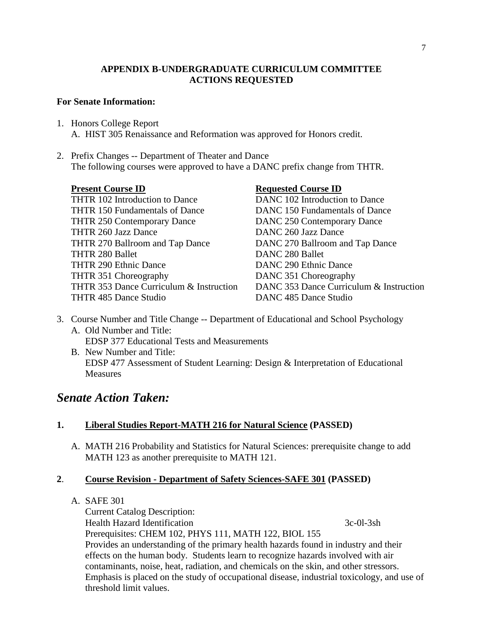# **APPENDIX B-UNDERGRADUATE CURRICULUM COMMITTEE ACTIONS REQUESTED**

# **For Senate Information:**

- 1. Honors College Report A. HIST 305 Renaissance and Reformation was approved for Honors credit.
- 2. Prefix Changes -- Department of Theater and Dance The following courses were approved to have a DANC prefix change from THTR.

THTR 102 Introduction to Dance DANC 102 Introduction to Dance THTR 150 Fundamentals of Dance DANC 150 Fundamentals of Dance THTR 250 Contemporary Dance DANC 250 Contemporary Dance THTR 260 Jazz Dance DANC 260 Jazz Dance THTR 270 Ballroom and Tap Dance DANC 270 Ballroom and Tap Dance THTR 280 Ballet DANC 280 Ballet THTR 290 Ethnic Dance DANC 290 Ethnic Dance THTR 351 Choreography DANC 351 Choreography THTR 485 Dance Studio DANC 485 Dance Studio

# **Present Course ID Requested Course ID**

THTR 353 Dance Curriculum & Instruction DANC 353 Dance Curriculum & Instruction

- 3. Course Number and Title Change -- Department of Educational and School Psychology A. Old Number and Title: EDSP 377 Educational Tests and Measurements
	- B. New Number and Title: EDSP 477 Assessment of Student Learning: Design & Interpretation of Educational Measures

# *Senate Action Taken:*

# **1. Liberal Studies Report-MATH 216 for Natural Science (PASSED)**

A. MATH 216 Probability and Statistics for Natural Sciences: prerequisite change to add MATH 123 as another prerequisite to MATH 121.

# **2**. **Course Revision - Department of Safety Sciences-SAFE 301 (PASSED)**

# A. SAFE 301

Current Catalog Description: Health Hazard Identification 3c-0l-3sh Prerequisites: CHEM 102, PHYS 111, MATH 122, BIOL 155 Provides an understanding of the primary health hazards found in industry and their effects on the human body. Students learn to recognize hazards involved with air contaminants, noise, heat, radiation, and chemicals on the skin, and other stressors. Emphasis is placed on the study of occupational disease, industrial toxicology, and use of threshold limit values.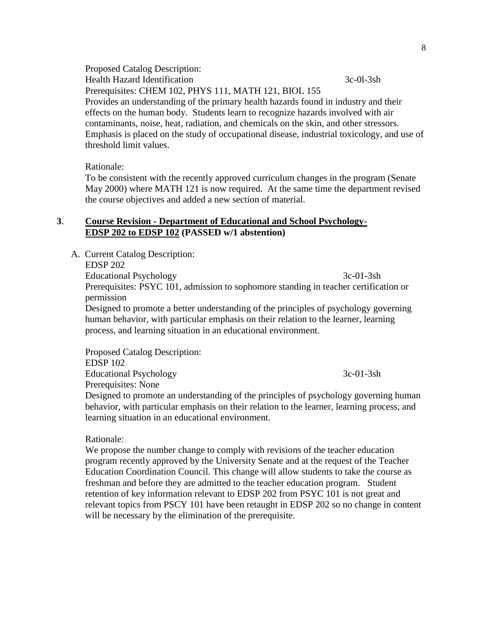Proposed Catalog Description: Health Hazard Identification 3c-0l-3sh Prerequisites: CHEM 102, PHYS 111, MATH 121, BIOL 155 Provides an understanding of the primary health hazards found in industry and their effects on the human body. Students learn to recognize hazards involved with air contaminants, noise, heat, radiation, and chemicals on the skin, and other stressors. Emphasis is placed on the study of occupational disease, industrial toxicology, and use of threshold limit values.

Rationale:

To be consistent with the recently approved curriculum changes in the program (Senate May 2000) where MATH 121 is now required. At the same time the department revised the course objectives and added a new section of material.

# **3**. **Course Revision - Department of Educational and School Psychology-EDSP 202 to EDSP 102 (PASSED w/1 abstention)**

A. Current Catalog Description:

EDSP 202

Educational Psychology 3c-01-3sh Prerequisites: PSYC 101, admission to sophomore standing in teacher certification or permission

Designed to promote a better understanding of the principles of psychology governing human behavior, with particular emphasis on their relation to the learner, learning process, and learning situation in an educational environment.

Proposed Catalog Description: EDSP 102 Educational Psychology 3c-01-3sh Prerequisites: None

Designed to promote an understanding of the principles of psychology governing human behavior, with particular emphasis on their relation to the learner, learning process, and learning situation in an educational environment.

Rationale:

We propose the number change to comply with revisions of the teacher education program recently approved by the University Senate and at the request of the Teacher Education Coordination Council. This change will allow students to take the course as freshman and before they are admitted to the teacher education program. Student retention of key information relevant to EDSP 202 from PSYC 101 is not great and relevant topics from PSCY 101 have been retaught in EDSP 202 so no change in content will be necessary by the elimination of the prerequisite.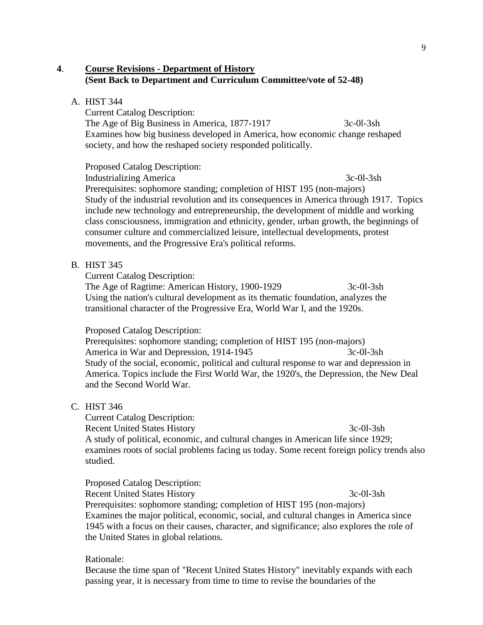# **4**. **Course Revisions - Department of History (Sent Back to Department and Curriculum Committee/vote of 52-48)**

### A. HIST 344

Current Catalog Description: The Age of Big Business in America, 1877-1917 3c-0l-3sh Examines how big business developed in America, how economic change reshaped society, and how the reshaped society responded politically.

Proposed Catalog Description: Industrializing America 3c-0l-3sh Prerequisites: sophomore standing; completion of HIST 195 (non-majors) Study of the industrial revolution and its consequences in America through 1917. Topics include new technology and entrepreneurship, the development of middle and working class consciousness, immigration and ethnicity, gender, urban growth, the beginnings of consumer culture and commercialized leisure, intellectual developments, protest movements, and the Progressive Era's political reforms.

#### B. HIST 345

Current Catalog Description:

The Age of Ragtime: American History, 1900-1929 3c-0l-3sh Using the nation's cultural development as its thematic foundation, analyzes the transitional character of the Progressive Era, World War I, and the 1920s.

### Proposed Catalog Description:

Prerequisites: sophomore standing; completion of HIST 195 (non-majors) America in War and Depression, 1914-1945 3c-0l-3sh Study of the social, economic, political and cultural response to war and depression in America. Topics include the First World War, the 1920's, the Depression, the New Deal and the Second World War.

# C. HIST 346

Current Catalog Description: Recent United States History 3c-0l-3sh A study of political, economic, and cultural changes in American life since 1929; examines roots of social problems facing us today. Some recent foreign policy trends also studied.

Proposed Catalog Description: Recent United States History 3c-0l-3sh Prerequisites: sophomore standing; completion of HIST 195 (non-majors) Examines the major political, economic, social, and cultural changes in America since 1945 with a focus on their causes, character, and significance; also explores the role of the United States in global relations.

Rationale:

Because the time span of "Recent United States History" inevitably expands with each passing year, it is necessary from time to time to revise the boundaries of the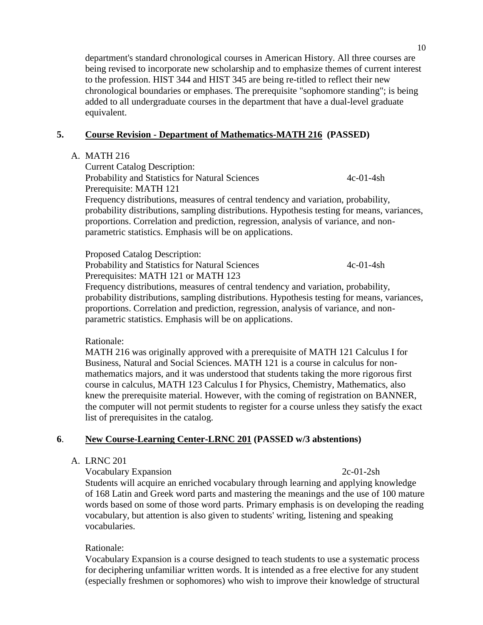department's standard chronological courses in American History. All three courses are being revised to incorporate new scholarship and to emphasize themes of current interest to the profession. HIST 344 and HIST 345 are being re-titled to reflect their new chronological boundaries or emphases. The prerequisite "sophomore standing"; is being added to all undergraduate courses in the department that have a dual-level graduate equivalent.

# **5. Course Revision - Department of Mathematics-MATH 216 (PASSED)**

# A. MATH 216

Current Catalog Description: Probability and Statistics for Natural Sciences 4c-01-4sh Prerequisite: MATH 121 Frequency distributions, measures of central tendency and variation, probability, probability distributions, sampling distributions. Hypothesis testing for means, variances, proportions. Correlation and prediction, regression, analysis of variance, and nonparametric statistics. Emphasis will be on applications.

Proposed Catalog Description: Probability and Statistics for Natural Sciences 4c-01-4sh Prerequisites: MATH 121 or MATH 123

Frequency distributions, measures of central tendency and variation, probability, probability distributions, sampling distributions. Hypothesis testing for means, variances, proportions. Correlation and prediction, regression, analysis of variance, and nonparametric statistics. Emphasis will be on applications.

Rationale:

MATH 216 was originally approved with a prerequisite of MATH 121 Calculus I for Business, Natural and Social Sciences. MATH 121 is a course in calculus for nonmathematics majors, and it was understood that students taking the more rigorous first course in calculus, MATH 123 Calculus I for Physics, Chemistry, Mathematics, also knew the prerequisite material. However, with the coming of registration on BANNER, the computer will not permit students to register for a course unless they satisfy the exact list of prerequisites in the catalog.

# **6**. **New Course-Learning Center-LRNC 201 (PASSED w/3 abstentions)**

# A. LRNC 201

Vocabulary Expansion 2c-01-2sh

Students will acquire an enriched vocabulary through learning and applying knowledge of 168 Latin and Greek word parts and mastering the meanings and the use of 100 mature words based on some of those word parts. Primary emphasis is on developing the reading vocabulary, but attention is also given to students' writing, listening and speaking vocabularies.

# Rationale:

Vocabulary Expansion is a course designed to teach students to use a systematic process for deciphering unfamiliar written words. It is intended as a free elective for any student (especially freshmen or sophomores) who wish to improve their knowledge of structural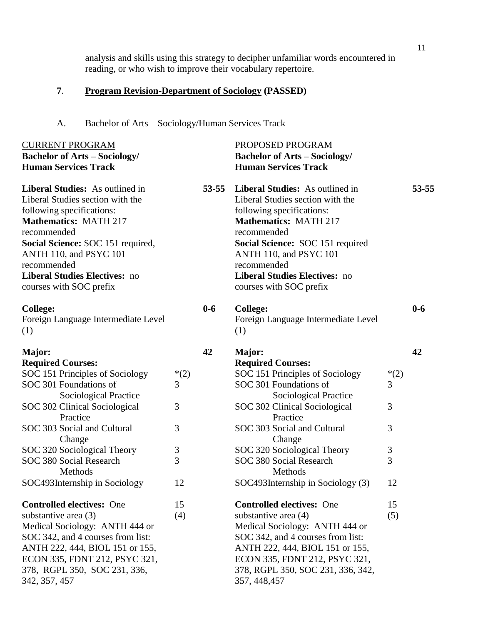analysis and skills using this strategy to decipher unfamiliar words encountered in reading, or who wish to improve their vocabulary repertoire.

# **7**. **Program Revision-Department of Sociology (PASSED)**

A. Bachelor of Arts – Sociology/Human Services Track

| <b>CURRENT PROGRAM</b><br><b>Bachelor of Arts - Sociology/</b>                                                                                                                                                                                                                                   |        |           | PROPOSED PROGRAM<br><b>Bachelor of Arts - Sociology/</b>                                                                                                                                                                                                                                        |        |           |
|--------------------------------------------------------------------------------------------------------------------------------------------------------------------------------------------------------------------------------------------------------------------------------------------------|--------|-----------|-------------------------------------------------------------------------------------------------------------------------------------------------------------------------------------------------------------------------------------------------------------------------------------------------|--------|-----------|
| <b>Human Services Track</b>                                                                                                                                                                                                                                                                      |        |           | <b>Human Services Track</b>                                                                                                                                                                                                                                                                     |        |           |
| Liberal Studies: As outlined in<br>Liberal Studies section with the<br>following specifications:<br><b>Mathematics: MATH 217</b><br>recommended<br>Social Science: SOC 151 required,<br>ANTH 110, and PSYC 101<br>recommended<br><b>Liberal Studies Electives: no</b><br>courses with SOC prefix |        | $53 - 55$ | Liberal Studies: As outlined in<br>Liberal Studies section with the<br>following specifications:<br><b>Mathematics: MATH 217</b><br>recommended<br>Social Science: SOC 151 required<br>ANTH 110, and PSYC 101<br>recommended<br><b>Liberal Studies Electives: no</b><br>courses with SOC prefix |        | $53 - 55$ |
| <b>College:</b><br>Foreign Language Intermediate Level<br>(1)                                                                                                                                                                                                                                    |        | $0-6$     | <b>College:</b><br>Foreign Language Intermediate Level<br>(1)                                                                                                                                                                                                                                   |        | $0 - 6$   |
| Major:                                                                                                                                                                                                                                                                                           |        | 42        | Major:                                                                                                                                                                                                                                                                                          |        | 42        |
| <b>Required Courses:</b>                                                                                                                                                                                                                                                                         |        |           | <b>Required Courses:</b>                                                                                                                                                                                                                                                                        |        |           |
| SOC 151 Principles of Sociology                                                                                                                                                                                                                                                                  | $*(2)$ |           | SOC 151 Principles of Sociology                                                                                                                                                                                                                                                                 | $*(2)$ |           |
| SOC 301 Foundations of                                                                                                                                                                                                                                                                           | 3      |           | SOC 301 Foundations of                                                                                                                                                                                                                                                                          | 3      |           |
| Sociological Practice                                                                                                                                                                                                                                                                            |        |           | Sociological Practice                                                                                                                                                                                                                                                                           |        |           |
| SOC 302 Clinical Sociological                                                                                                                                                                                                                                                                    | 3      |           | SOC 302 Clinical Sociological                                                                                                                                                                                                                                                                   | 3      |           |
| Practice                                                                                                                                                                                                                                                                                         |        |           | Practice                                                                                                                                                                                                                                                                                        |        |           |
| SOC 303 Social and Cultural                                                                                                                                                                                                                                                                      | 3      |           | SOC 303 Social and Cultural                                                                                                                                                                                                                                                                     | 3      |           |
| Change                                                                                                                                                                                                                                                                                           |        |           | Change                                                                                                                                                                                                                                                                                          |        |           |
| SOC 320 Sociological Theory                                                                                                                                                                                                                                                                      | 3      |           | SOC 320 Sociological Theory                                                                                                                                                                                                                                                                     | 3      |           |
| SOC 380 Social Research                                                                                                                                                                                                                                                                          | 3      |           | SOC 380 Social Research                                                                                                                                                                                                                                                                         | 3      |           |
| Methods                                                                                                                                                                                                                                                                                          |        |           | Methods                                                                                                                                                                                                                                                                                         |        |           |
| SOC493Internship in Sociology                                                                                                                                                                                                                                                                    | 12     |           | SOC493Internship in Sociology (3)                                                                                                                                                                                                                                                               | 12     |           |
| <b>Controlled electives:</b> One                                                                                                                                                                                                                                                                 | 15     |           | <b>Controlled electives: One</b>                                                                                                                                                                                                                                                                | 15     |           |
| substantive area $(3)$                                                                                                                                                                                                                                                                           | (4)    |           | substantive area (4)                                                                                                                                                                                                                                                                            | (5)    |           |
| Medical Sociology: ANTH 444 or                                                                                                                                                                                                                                                                   |        |           | Medical Sociology: ANTH 444 or                                                                                                                                                                                                                                                                  |        |           |
| SOC 342, and 4 courses from list:                                                                                                                                                                                                                                                                |        |           | SOC 342, and 4 courses from list:                                                                                                                                                                                                                                                               |        |           |
| ANTH 222, 444, BIOL 151 or 155,                                                                                                                                                                                                                                                                  |        |           | ANTH 222, 444, BIOL 151 or 155,                                                                                                                                                                                                                                                                 |        |           |
| ECON 335, FDNT 212, PSYC 321,                                                                                                                                                                                                                                                                    |        |           | ECON 335, FDNT 212, PSYC 321,                                                                                                                                                                                                                                                                   |        |           |
|                                                                                                                                                                                                                                                                                                  |        |           |                                                                                                                                                                                                                                                                                                 |        |           |
| 378, RGPL 350, SOC 231, 336,<br>342, 357, 457                                                                                                                                                                                                                                                    |        |           | 378, RGPL 350, SOC 231, 336, 342,<br>357, 448, 457                                                                                                                                                                                                                                              |        |           |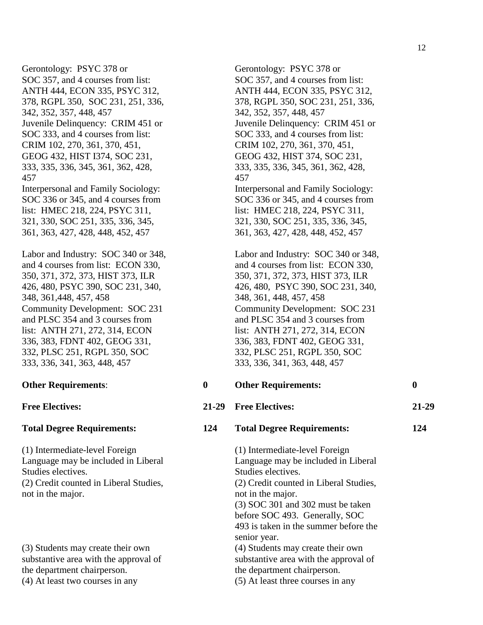Gerontology: PSYC 378 or SOC 357, and 4 courses from list: ANTH 444, ECON 335, PSYC 312, 378, RGPL 350, SOC 231, 251, 336, 342, 352, 357, 448, 457 Juvenile Delinquency: CRIM 451 or SOC 333, and 4 courses from list: CRIM 102, 270, 361, 370, 451, GEOG 432, HIST I374, SOC 231, 333, 335, 336, 345, 361, 362, 428, 457 Interpersonal and Family Sociology: SOC 336 or 345, and 4 courses from list: HMEC 218, 224, PSYC 311, 321, 330, SOC 251, 335, 336, 345, 361, 363, 427, 428, 448, 452, 457 Labor and Industry: SOC 340 or 348,

and 4 courses from list: ECON 330, 350, 371, 372, 373, HIST 373, ILR 426, 480, PSYC 390, SOC 231, 340, 348, 361,448, 457, 458 Community Development: SOC 231 and PLSC 354 and 3 courses from list: ANTH 271, 272, 314, ECON 336, 383, FDNT 402, GEOG 331, 332, PLSC 251, RGPL 350, SOC 333, 336, 341, 363, 448, 457

(1) Intermediate-level Foreign Language may be included in Liberal Studies electives. (2) Credit counted in Liberal Studies, not in the major.

(3) Students may create their own substantive area with the approval of the department chairperson. (4) At least two courses in any (5) At least three courses in any

Gerontology: PSYC 378 or SOC 357, and 4 courses from list: ANTH 444, ECON 335, PSYC 312, 378, RGPL 350, SOC 231, 251, 336, 342, 352, 357, 448, 457 Juvenile Delinquency: CRIM 451 or SOC 333, and 4 courses from list: CRIM 102, 270, 361, 370, 451, GEOG 432, HIST 374, SOC 231, 333, 335, 336, 345, 361, 362, 428, 457 Interpersonal and Family Sociology: SOC 336 or 345, and 4 courses from list: HMEC 218, 224, PSYC 311, 321, 330, SOC 251, 335, 336, 345, 361, 363, 427, 428, 448, 452, 457

Labor and Industry: SOC 340 or 348, and 4 courses from list: ECON 330, 350, 371, 372, 373, HIST 373, ILR 426, 480, PSYC 390, SOC 231, 340, 348, 361, 448, 457, 458 Community Development: SOC 231 and PLSC 354 and 3 courses from list: ANTH 271, 272, 314, ECON 336, 383, FDNT 402, GEOG 331, 332, PLSC 251, RGPL 350, SOC 333, 336, 341, 363, 448, 457

**Other Requirements**: **0 Other Requirements: 0 Free Electives: 21-29 Free Electives: 21-29 Total Degree Requirements: 124 Total Degree Requirements: 124** (1) Intermediate-level Foreign Language may be included in Liberal Studies electives. (2) Credit counted in Liberal Studies, not in the major. (3) SOC 301 and 302 must be taken before SOC 493. Generally, SOC 493 is taken in the summer before the senior year. (4) Students may create their own substantive area with the approval of

the department chairperson.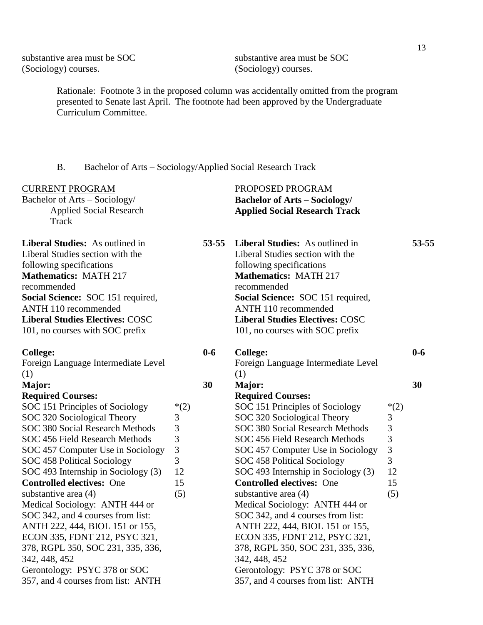substantive area must be SOC (Sociology) courses.

substantive area must be SOC (Sociology) courses.

Rationale: Footnote 3 in the proposed column was accidentally omitted from the program presented to Senate last April. The footnote had been approved by the Undergraduate Curriculum Committee.

B. Bachelor of Arts – Sociology/Applied Social Research Track

| <b>CURRENT PROGRAM</b><br>Bachelor of Arts - Sociology/<br><b>Applied Social Research</b><br>Track                                                                                                                                                                                       |                |           | PROPOSED PROGRAM<br><b>Bachelor of Arts - Sociology/</b><br><b>Applied Social Research Track</b>                                                                                                                                                                                         |                |           |
|------------------------------------------------------------------------------------------------------------------------------------------------------------------------------------------------------------------------------------------------------------------------------------------|----------------|-----------|------------------------------------------------------------------------------------------------------------------------------------------------------------------------------------------------------------------------------------------------------------------------------------------|----------------|-----------|
| Liberal Studies: As outlined in<br>Liberal Studies section with the<br>following specifications<br><b>Mathematics: MATH 217</b><br>recommended<br>Social Science: SOC 151 required,<br>ANTH 110 recommended<br><b>Liberal Studies Electives: COSC</b><br>101, no courses with SOC prefix |                | $53 - 55$ | Liberal Studies: As outlined in<br>Liberal Studies section with the<br>following specifications<br><b>Mathematics: MATH 217</b><br>recommended<br>Social Science: SOC 151 required,<br>ANTH 110 recommended<br><b>Liberal Studies Electives: COSC</b><br>101, no courses with SOC prefix |                | $53 - 55$ |
| <b>College:</b><br>Foreign Language Intermediate Level                                                                                                                                                                                                                                   |                | $0 - 6$   | <b>College:</b><br>Foreign Language Intermediate Level                                                                                                                                                                                                                                   |                | $0 - 6$   |
| (1)                                                                                                                                                                                                                                                                                      |                |           | (1)                                                                                                                                                                                                                                                                                      |                |           |
| Major:                                                                                                                                                                                                                                                                                   |                | 30        | Major:                                                                                                                                                                                                                                                                                   |                | 30        |
| <b>Required Courses:</b>                                                                                                                                                                                                                                                                 |                |           | <b>Required Courses:</b>                                                                                                                                                                                                                                                                 |                |           |
| SOC 151 Principles of Sociology                                                                                                                                                                                                                                                          | $*(2)$         |           | SOC 151 Principles of Sociology                                                                                                                                                                                                                                                          | $*(2)$         |           |
| SOC 320 Sociological Theory                                                                                                                                                                                                                                                              | 3              |           | SOC 320 Sociological Theory                                                                                                                                                                                                                                                              | 3              |           |
| SOC 380 Social Research Methods                                                                                                                                                                                                                                                          | 3              |           | SOC 380 Social Research Methods                                                                                                                                                                                                                                                          | 3              |           |
| SOC 456 Field Research Methods                                                                                                                                                                                                                                                           | 3              |           | SOC 456 Field Research Methods                                                                                                                                                                                                                                                           | 3              |           |
| SOC 457 Computer Use in Sociology                                                                                                                                                                                                                                                        | $\mathfrak{Z}$ |           | SOC 457 Computer Use in Sociology                                                                                                                                                                                                                                                        | $\overline{3}$ |           |
| SOC 458 Political Sociology                                                                                                                                                                                                                                                              | 3              |           | SOC 458 Political Sociology                                                                                                                                                                                                                                                              | 3              |           |
| SOC 493 Internship in Sociology (3)                                                                                                                                                                                                                                                      | 12             |           | SOC 493 Internship in Sociology (3)                                                                                                                                                                                                                                                      | 12             |           |
| <b>Controlled electives: One</b>                                                                                                                                                                                                                                                         | 15             |           | <b>Controlled electives: One</b>                                                                                                                                                                                                                                                         | 15             |           |
| substantive area (4)                                                                                                                                                                                                                                                                     | (5)            |           | substantive area $(4)$                                                                                                                                                                                                                                                                   | (5)            |           |
| Medical Sociology: ANTH 444 or                                                                                                                                                                                                                                                           |                |           | Medical Sociology: ANTH 444 or                                                                                                                                                                                                                                                           |                |           |
| SOC 342, and 4 courses from list:                                                                                                                                                                                                                                                        |                |           | SOC 342, and 4 courses from list:                                                                                                                                                                                                                                                        |                |           |
| ANTH 222, 444, BIOL 151 or 155,                                                                                                                                                                                                                                                          |                |           | ANTH 222, 444, BIOL 151 or 155,                                                                                                                                                                                                                                                          |                |           |
| ECON 335, FDNT 212, PSYC 321,                                                                                                                                                                                                                                                            |                |           | ECON 335, FDNT 212, PSYC 321,                                                                                                                                                                                                                                                            |                |           |
| 378, RGPL 350, SOC 231, 335, 336,                                                                                                                                                                                                                                                        |                |           | 378, RGPL 350, SOC 231, 335, 336,                                                                                                                                                                                                                                                        |                |           |
| 342, 448, 452                                                                                                                                                                                                                                                                            |                |           | 342, 448, 452                                                                                                                                                                                                                                                                            |                |           |
| Gerontology: PSYC 378 or SOC                                                                                                                                                                                                                                                             |                |           | Gerontology: PSYC 378 or SOC                                                                                                                                                                                                                                                             |                |           |
| 357, and 4 courses from list: ANTH                                                                                                                                                                                                                                                       |                |           | 357, and 4 courses from list: ANTH                                                                                                                                                                                                                                                       |                |           |
|                                                                                                                                                                                                                                                                                          |                |           |                                                                                                                                                                                                                                                                                          |                |           |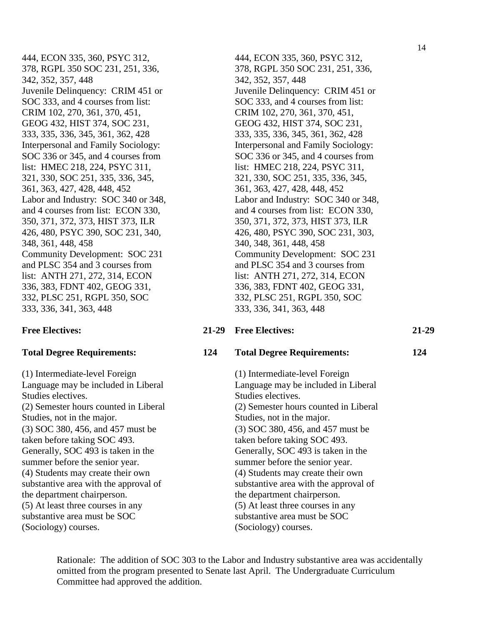444, ECON 335, 360, PSYC 312, 378, RGPL 350 SOC 231, 251, 336, 342, 352, 357, 448 Juvenile Delinquency: CRIM 451 or SOC 333, and 4 courses from list: CRIM 102, 270, 361, 370, 451, GEOG 432, HIST 374, SOC 231, 333, 335, 336, 345, 361, 362, 428 Interpersonal and Family Sociology: SOC 336 or 345, and 4 courses from list: HMEC 218, 224, PSYC 311, 321, 330, SOC 251, 335, 336, 345, 361, 363, 427, 428, 448, 452 Labor and Industry: SOC 340 or 348, and 4 courses from list: ECON 330, 350, 371, 372, 373, HIST 373, ILR 426, 480, PSYC 390, SOC 231, 340, 348, 361, 448, 458 Community Development: SOC 231 and PLSC 354 and 3 courses from list: ANTH 271, 272, 314, ECON 336, 383, FDNT 402, GEOG 331, 332, PLSC 251, RGPL 350, SOC 333, 336, 341, 363, 448

(1) Intermediate-level Foreign Language may be included in Liberal Studies electives. (2) Semester hours counted in Liberal Studies, not in the major. (3) SOC 380, 456, and 457 must be taken before taking SOC 493. Generally, SOC 493 is taken in the summer before the senior year. (4) Students may create their own substantive area with the approval of the department chairperson. (5) At least three courses in any substantive area must be SOC (Sociology) courses.

444, ECON 335, 360, PSYC 312, 378, RGPL 350 SOC 231, 251, 336, 342, 352, 357, 448 Juvenile Delinquency: CRIM 451 or SOC 333, and 4 courses from list: CRIM 102, 270, 361, 370, 451, GEOG 432, HIST 374, SOC 231, 333, 335, 336, 345, 361, 362, 428 Interpersonal and Family Sociology: SOC 336 or 345, and 4 courses from list: HMEC 218, 224, PSYC 311, 321, 330, SOC 251, 335, 336, 345, 361, 363, 427, 428, 448, 452 Labor and Industry: SOC 340 or 348, and 4 courses from list: ECON 330, 350, 371, 372, 373, HIST 373, ILR 426, 480, PSYC 390, SOC 231, 303, 340, 348, 361, 448, 458 Community Development: SOC 231 and PLSC 354 and 3 courses from list: ANTH 271, 272, 314, ECON 336, 383, FDNT 402, GEOG 331, 332, PLSC 251, RGPL 350, SOC 333, 336, 341, 363, 448

### **Free Electives: 21-29 Free Electives: 21-29**

#### **Total Degree Requirements: 124 Total Degree Requirements: 124**

(1) Intermediate-level Foreign Language may be included in Liberal Studies electives. (2) Semester hours counted in Liberal Studies, not in the major. (3) SOC 380, 456, and 457 must be taken before taking SOC 493. Generally, SOC 493 is taken in the summer before the senior year. (4) Students may create their own substantive area with the approval of the department chairperson. (5) At least three courses in any substantive area must be SOC (Sociology) courses.

Rationale: The addition of SOC 303 to the Labor and Industry substantive area was accidentally omitted from the program presented to Senate last April. The Undergraduate Curriculum Committee had approved the addition.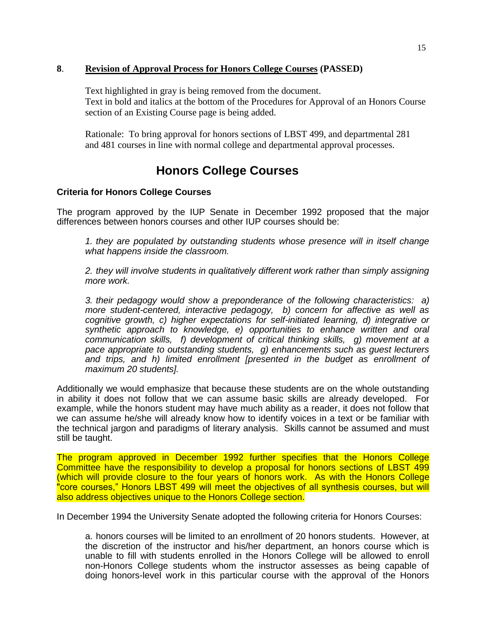# **8**. **Revision of Approval Process for Honors College Courses (PASSED)**

Text highlighted in gray is being removed from the document. Text in bold and italics at the bottom of the Procedures for Approval of an Honors Course section of an Existing Course page is being added.

Rationale: To bring approval for honors sections of LBST 499, and departmental 281 and 481 courses in line with normal college and departmental approval processes.

# **Honors College Courses**

# **Criteria for Honors College Courses**

The program approved by the IUP Senate in December 1992 proposed that the major differences between honors courses and other IUP courses should be:

*1. they are populated by outstanding students whose presence will in itself change what happens inside the classroom.*

*2. they will involve students in qualitatively different work rather than simply assigning more work.*

*3. their pedagogy would show a preponderance of the following characteristics: a) more student-centered, interactive pedagogy, b) concern for affective as well as cognitive growth, c) higher expectations for self-initiated learning, d) integrative or synthetic approach to knowledge, e) opportunities to enhance written and oral communication skills, f) development of critical thinking skills, g) movement at a pace appropriate to outstanding students, g) enhancements such as guest lecturers*  and trips, and h) limited enrollment [presented in the budget as enrollment of *maximum 20 students].*

Additionally we would emphasize that because these students are on the whole outstanding in ability it does not follow that we can assume basic skills are already developed. For example, while the honors student may have much ability as a reader, it does not follow that we can assume he/she will already know how to identify voices in a text or be familiar with the technical jargon and paradigms of literary analysis. Skills cannot be assumed and must still be taught.

The program approved in December 1992 further specifies that the Honors College Committee have the responsibility to develop a proposal for honors sections of LBST 499 (which will provide closure to the four years of honors work. As with the Honors College "core courses," Honors LBST 499 will meet the objectives of all synthesis courses, but will also address objectives unique to the Honors College section.

In December 1994 the University Senate adopted the following criteria for Honors Courses:

a. honors courses will be limited to an enrollment of 20 honors students. However, at the discretion of the instructor and his/her department, an honors course which is unable to fill with students enrolled in the Honors College will be allowed to enroll non-Honors College students whom the instructor assesses as being capable of doing honors-level work in this particular course with the approval of the Honors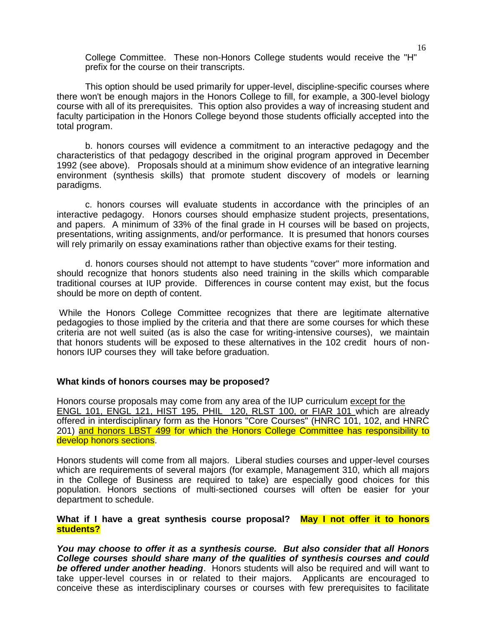College Committee. These non-Honors College students would receive the "H" prefix for the course on their transcripts.

This option should be used primarily for upper-level, discipline-specific courses where there won't be enough majors in the Honors College to fill, for example, a 300-level biology course with all of its prerequisites. This option also provides a way of increasing student and faculty participation in the Honors College beyond those students officially accepted into the total program.

b. honors courses will evidence a commitment to an interactive pedagogy and the characteristics of that pedagogy described in the original program approved in December 1992 (see above). Proposals should at a minimum show evidence of an integrative learning environment (synthesis skills) that promote student discovery of models or learning paradigms.

c. honors courses will evaluate students in accordance with the principles of an interactive pedagogy. Honors courses should emphasize student projects, presentations, and papers. A minimum of 33% of the final grade in H courses will be based on projects, presentations, writing assignments, and/or performance. It is presumed that honors courses will rely primarily on essay examinations rather than objective exams for their testing.

d. honors courses should not attempt to have students "cover" more information and should recognize that honors students also need training in the skills which comparable traditional courses at IUP provide. Differences in course content may exist, but the focus should be more on depth of content.

While the Honors College Committee recognizes that there are legitimate alternative pedagogies to those implied by the criteria and that there are some courses for which these criteria are not well suited (as is also the case for writing-intensive courses), we maintain that honors students will be exposed to these alternatives in the 102 credit hours of nonhonors IUP courses they will take before graduation.

#### **What kinds of honors courses may be proposed?**

Honors course proposals may come from any area of the IUP curriculum except for the ENGL 101, ENGL 121, HIST 195, PHIL 120, RLST 100, or FIAR 101 which are already offered in interdisciplinary form as the Honors "Core Courses" (HNRC 101, 102, and HNRC 201) and honors LBST 499 for which the Honors College Committee has responsibility to develop honors sections.

Honors students will come from all majors. Liberal studies courses and upper-level courses which are requirements of several majors (for example, Management 310, which all majors in the College of Business are required to take) are especially good choices for this population. Honors sections of multi-sectioned courses will often be easier for your department to schedule.

#### What if I have a great synthesis course proposal? May I not offer it to honors **students?**

*You may choose to offer it as a synthesis course. But also consider that all Honors College courses should share many of the qualities of synthesis courses and could be offered under another heading*. Honors students will also be required and will want to take upper-level courses in or related to their majors. Applicants are encouraged to conceive these as interdisciplinary courses or courses with few prerequisites to facilitate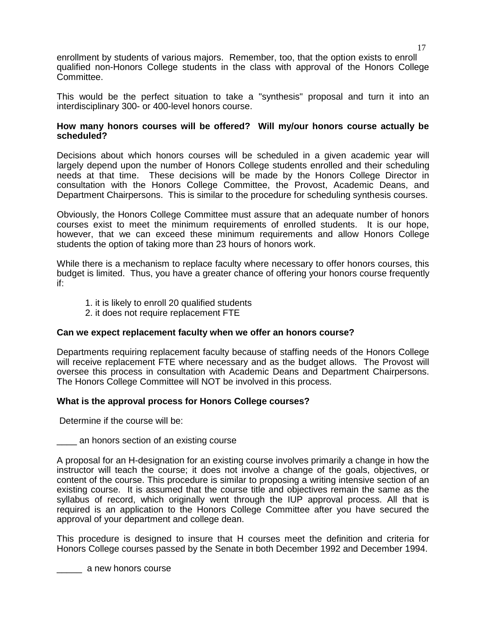enrollment by students of various majors. Remember, too, that the option exists to enroll qualified non-Honors College students in the class with approval of the Honors College Committee.

This would be the perfect situation to take a "synthesis" proposal and turn it into an interdisciplinary 300- or 400-level honors course.

# **How many honors courses will be offered? Will my/our honors course actually be scheduled?**

Decisions about which honors courses will be scheduled in a given academic year will largely depend upon the number of Honors College students enrolled and their scheduling needs at that time. These decisions will be made by the Honors College Director in consultation with the Honors College Committee, the Provost, Academic Deans, and Department Chairpersons. This is similar to the procedure for scheduling synthesis courses.

Obviously, the Honors College Committee must assure that an adequate number of honors courses exist to meet the minimum requirements of enrolled students. It is our hope, however, that we can exceed these minimum requirements and allow Honors College students the option of taking more than 23 hours of honors work.

While there is a mechanism to replace faculty where necessary to offer honors courses, this budget is limited. Thus, you have a greater chance of offering your honors course frequently if:

- 1. it is likely to enroll 20 qualified students
- 2. it does not require replacement FTE

#### **Can we expect replacement faculty when we offer an honors course?**

Departments requiring replacement faculty because of staffing needs of the Honors College will receive replacement FTE where necessary and as the budget allows. The Provost will oversee this process in consultation with Academic Deans and Department Chairpersons. The Honors College Committee will NOT be involved in this process.

#### **What is the approval process for Honors College courses?**

Determine if the course will be:

\_\_\_\_ an honors section of an existing course

A proposal for an H-designation for an existing course involves primarily a change in how the instructor will teach the course; it does not involve a change of the goals, objectives, or content of the course. This procedure is similar to proposing a writing intensive section of an existing course. It is assumed that the course title and objectives remain the same as the syllabus of record, which originally went through the IUP approval process. All that is required is an application to the Honors College Committee after you have secured the approval of your department and college dean.

This procedure is designed to insure that H courses meet the definition and criteria for Honors College courses passed by the Senate in both December 1992 and December 1994.

**2008** a new honors course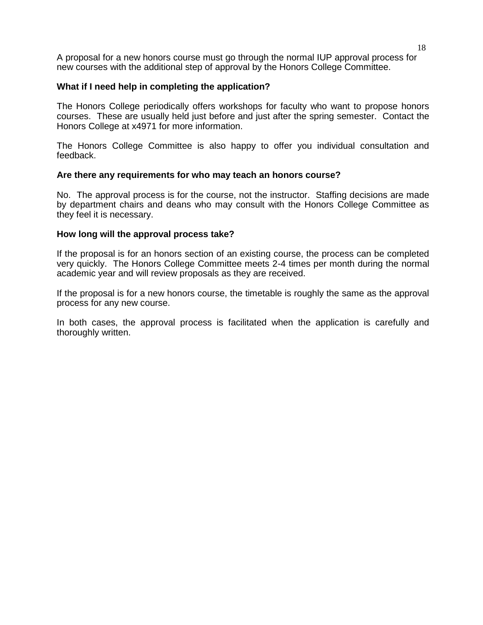A proposal for a new honors course must go through the normal IUP approval process for new courses with the additional step of approval by the Honors College Committee.

# **What if I need help in completing the application?**

The Honors College periodically offers workshops for faculty who want to propose honors courses. These are usually held just before and just after the spring semester. Contact the Honors College at x4971 for more information.

The Honors College Committee is also happy to offer you individual consultation and feedback.

### **Are there any requirements for who may teach an honors course?**

No. The approval process is for the course, not the instructor. Staffing decisions are made by department chairs and deans who may consult with the Honors College Committee as they feel it is necessary.

### **How long will the approval process take?**

If the proposal is for an honors section of an existing course, the process can be completed very quickly. The Honors College Committee meets 2-4 times per month during the normal academic year and will review proposals as they are received.

If the proposal is for a new honors course, the timetable is roughly the same as the approval process for any new course.

In both cases, the approval process is facilitated when the application is carefully and thoroughly written.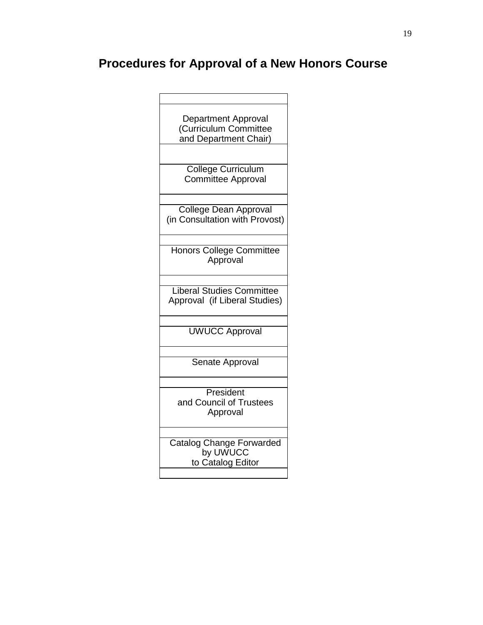# **Procedures for Approval of a New Honors Course**

| <b>Department Approval</b><br>(Curriculum Committee<br>and Department Chair) |
|------------------------------------------------------------------------------|
| <b>College Curriculum</b>                                                    |
| <b>Committee Approval</b>                                                    |
| College Dean Approval<br>(in Consultation with Provost)                      |
| <b>Honors College Committee</b><br>Approval                                  |
| <b>Liberal Studies Committee</b><br>Approval (if Liberal Studies)            |
| <b>UWUCC Approval</b>                                                        |
| Senate Approval                                                              |
| President<br>and Council of Trustees<br>Approval                             |
| <b>Catalog Change Forwarded</b><br>by UWUCC<br>to Catalog Editor             |
|                                                                              |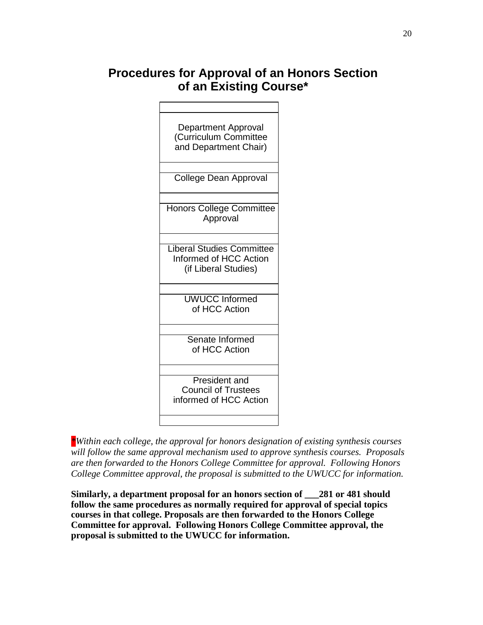# **Procedures for Approval of an Honors Section of an Existing Course\***



*\*Within each college, the approval for honors designation of existing synthesis courses will follow the same approval mechanism used to approve synthesis courses. Proposals are then forwarded to the Honors College Committee for approval. Following Honors College Committee approval, the proposal is submitted to the UWUCC for information.*

**Similarly, a department proposal for an honors section of \_\_\_281 or 481 should follow the same procedures as normally required for approval of special topics courses in that college. Proposals are then forwarded to the Honors College Committee for approval. Following Honors College Committee approval, the proposal is submitted to the UWUCC for information.**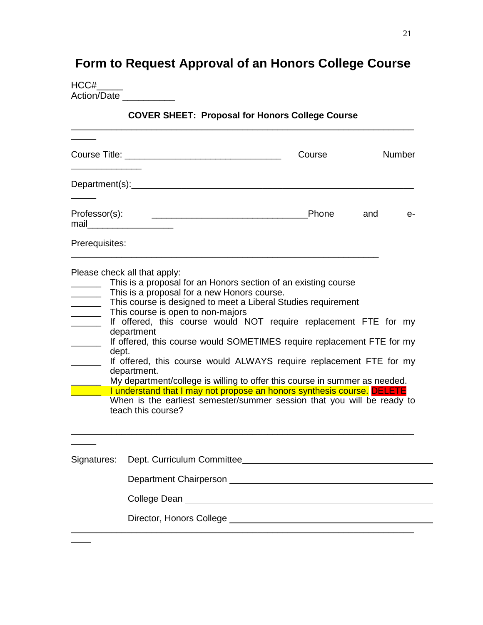# **Form to Request Approval of an Honors College Course**

| HCC#               |  |
|--------------------|--|
| <b>Action/Date</b> |  |

# **COVER SHEET: Proposal for Honors College Course** \_\_\_\_\_\_\_\_\_\_\_\_\_\_\_\_\_\_\_\_\_\_\_\_\_\_\_\_\_\_\_\_\_\_\_\_\_\_\_\_\_\_\_\_\_\_\_\_\_\_\_\_\_\_\_\_\_\_\_\_\_\_\_\_\_\_\_\_

|                                                                                                                                                                                                    |                                                                                                                                                                                                                                                                                                                                                                                                                                                                                                                                                                                                                                                                                                                                                               | Course |     | <b>Number</b> |  |
|----------------------------------------------------------------------------------------------------------------------------------------------------------------------------------------------------|---------------------------------------------------------------------------------------------------------------------------------------------------------------------------------------------------------------------------------------------------------------------------------------------------------------------------------------------------------------------------------------------------------------------------------------------------------------------------------------------------------------------------------------------------------------------------------------------------------------------------------------------------------------------------------------------------------------------------------------------------------------|--------|-----|---------------|--|
|                                                                                                                                                                                                    |                                                                                                                                                                                                                                                                                                                                                                                                                                                                                                                                                                                                                                                                                                                                                               |        |     |               |  |
| Professor(s):<br>mail                                                                                                                                                                              | <u> 2000 - Jan James James Jan James James Jan James James Jan James James Jan Jan James James Jan Jan Jan Jan J</u>                                                                                                                                                                                                                                                                                                                                                                                                                                                                                                                                                                                                                                          | Phone  | and | e-            |  |
| Prerequisites:                                                                                                                                                                                     |                                                                                                                                                                                                                                                                                                                                                                                                                                                                                                                                                                                                                                                                                                                                                               |        |     |               |  |
| $\frac{1}{\sqrt{1-\frac{1}{2}}}\left( \frac{1}{\sqrt{1-\frac{1}{2}}}\right) ^{2}$<br>$\overline{\phantom{a}}$<br>$\mathcal{L} = \mathcal{L} \cup \mathcal{L}$<br>$\overline{\phantom{a}}$<br>dept. | Please check all that apply:<br>This is a proposal for an Honors section of an existing course<br>This is a proposal for a new Honors course.<br>This course is designed to meet a Liberal Studies requirement<br>This course is open to non-majors<br>If offered, this course would NOT require replacement FTE for my<br>department<br>If offered, this course would SOMETIMES require replacement FTE for my<br>If offered, this course would ALWAYS require replacement FTE for my<br>department.<br>My department/college is willing to offer this course in summer as needed.<br>I understand that I may not propose an honors synthesis course. DELETE<br>When is the earliest semester/summer session that you will be ready to<br>teach this course? |        |     |               |  |
| Signatures:                                                                                                                                                                                        |                                                                                                                                                                                                                                                                                                                                                                                                                                                                                                                                                                                                                                                                                                                                                               |        |     |               |  |
|                                                                                                                                                                                                    |                                                                                                                                                                                                                                                                                                                                                                                                                                                                                                                                                                                                                                                                                                                                                               |        |     |               |  |
|                                                                                                                                                                                                    | College Dean National According College Dean                                                                                                                                                                                                                                                                                                                                                                                                                                                                                                                                                                                                                                                                                                                  |        |     |               |  |
|                                                                                                                                                                                                    |                                                                                                                                                                                                                                                                                                                                                                                                                                                                                                                                                                                                                                                                                                                                                               |        |     |               |  |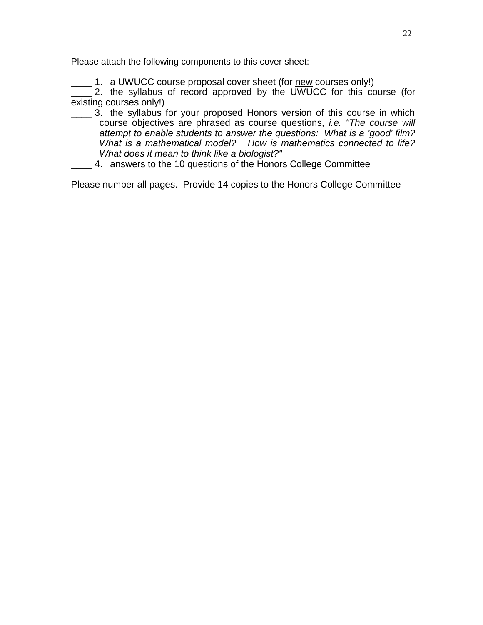Please attach the following components to this cover sheet:

1. a UWUCC course proposal cover sheet (for new courses only!)

2. the syllabus of record approved by the UWUCC for this course (for existing courses only!)

- 3. the syllabus for your proposed Honors version of this course in which course objectives are phrased as course questions, *i.e. "The course will attempt to enable students to answer the questions: What is a 'good' film? What is a mathematical model? How is mathematics connected to life? What does it mean to think like a biologist?"*
- \_\_\_\_ 4. answers to the 10 questions of the Honors College Committee

Please number all pages. Provide 14 copies to the Honors College Committee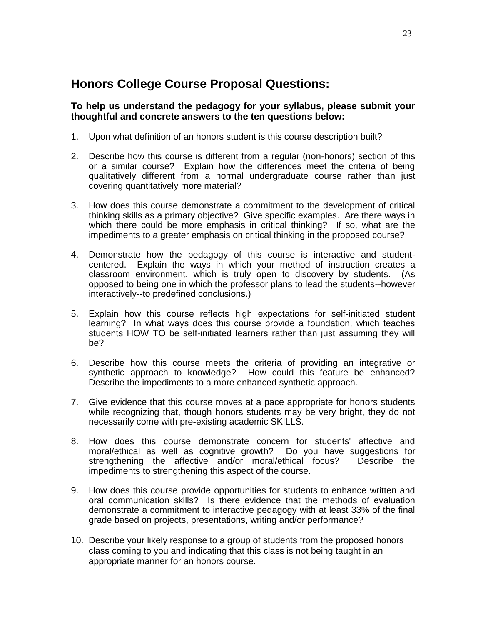# **Honors College Course Proposal Questions:**

# **To help us understand the pedagogy for your syllabus, please submit your thoughtful and concrete answers to the ten questions below:**

- 1. Upon what definition of an honors student is this course description built?
- 2. Describe how this course is different from a regular (non-honors) section of this or a similar course? Explain how the differences meet the criteria of being qualitatively different from a normal undergraduate course rather than just covering quantitatively more material?
- 3. How does this course demonstrate a commitment to the development of critical thinking skills as a primary objective? Give specific examples. Are there ways in which there could be more emphasis in critical thinking? If so, what are the impediments to a greater emphasis on critical thinking in the proposed course?
- 4. Demonstrate how the pedagogy of this course is interactive and studentcentered. Explain the ways in which your method of instruction creates a classroom environment, which is truly open to discovery by students. (As opposed to being one in which the professor plans to lead the students--however interactively--to predefined conclusions.)
- 5. Explain how this course reflects high expectations for self-initiated student learning? In what ways does this course provide a foundation, which teaches students HOW TO be self-initiated learners rather than just assuming they will be?
- 6. Describe how this course meets the criteria of providing an integrative or synthetic approach to knowledge? How could this feature be enhanced? Describe the impediments to a more enhanced synthetic approach.
- 7. Give evidence that this course moves at a pace appropriate for honors students while recognizing that, though honors students may be very bright, they do not necessarily come with pre-existing academic SKILLS.
- 8. How does this course demonstrate concern for students' affective and moral/ethical as well as cognitive growth? Do you have suggestions for strengthening the affective and/or moral/ethical focus? Describe the impediments to strengthening this aspect of the course.
- 9. How does this course provide opportunities for students to enhance written and oral communication skills? Is there evidence that the methods of evaluation demonstrate a commitment to interactive pedagogy with at least 33% of the final grade based on projects, presentations, writing and/or performance?
- 10. Describe your likely response to a group of students from the proposed honors class coming to you and indicating that this class is not being taught in an appropriate manner for an honors course.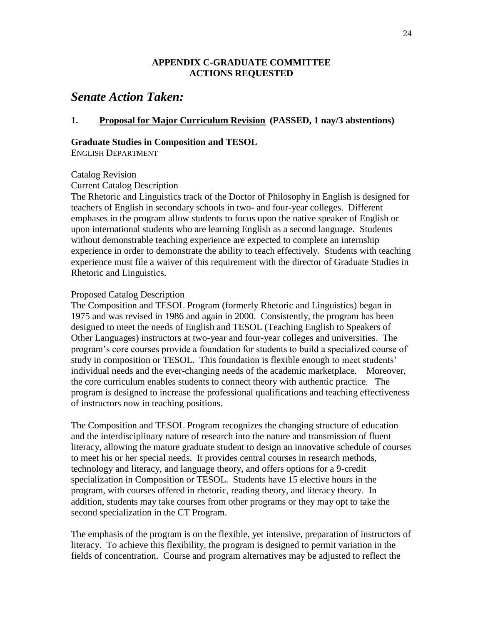### **APPENDIX C-GRADUATE COMMITTEE ACTIONS REQUESTED**

# *Senate Action Taken:*

# **1. Proposal for Major Curriculum Revision (PASSED, 1 nay/3 abstentions)**

#### **Graduate Studies in Composition and TESOL**

ENGLISH DEPARTMENT

#### Catalog Revision

#### Current Catalog Description

The Rhetoric and Linguistics track of the Doctor of Philosophy in English is designed for teachers of English in secondary schools in two- and four-year colleges. Different emphases in the program allow students to focus upon the native speaker of English or upon international students who are learning English as a second language. Students without demonstrable teaching experience are expected to complete an internship experience in order to demonstrate the ability to teach effectively. Students with teaching experience must file a waiver of this requirement with the director of Graduate Studies in Rhetoric and Linguistics.

#### Proposed Catalog Description

The Composition and TESOL Program (formerly Rhetoric and Linguistics) began in 1975 and was revised in 1986 and again in 2000. Consistently, the program has been designed to meet the needs of English and TESOL (Teaching English to Speakers of Other Languages) instructors at two-year and four-year colleges and universities. The program's core courses provide a foundation for students to build a specialized course of study in composition or TESOL. This foundation is flexible enough to meet students' individual needs and the ever-changing needs of the academic marketplace. Moreover, the core curriculum enables students to connect theory with authentic practice. The program is designed to increase the professional qualifications and teaching effectiveness of instructors now in teaching positions.

The Composition and TESOL Program recognizes the changing structure of education and the interdisciplinary nature of research into the nature and transmission of fluent literacy, allowing the mature graduate student to design an innovative schedule of courses to meet his or her special needs. It provides central courses in research methods, technology and literacy, and language theory, and offers options for a 9-credit specialization in Composition or TESOL. Students have 15 elective hours in the program, with courses offered in rhetoric, reading theory, and literacy theory. In addition, students may take courses from other programs or they may opt to take the second specialization in the CT Program.

The emphasis of the program is on the flexible, yet intensive, preparation of instructors of literacy. To achieve this flexibility, the program is designed to permit variation in the fields of concentration. Course and program alternatives may be adjusted to reflect the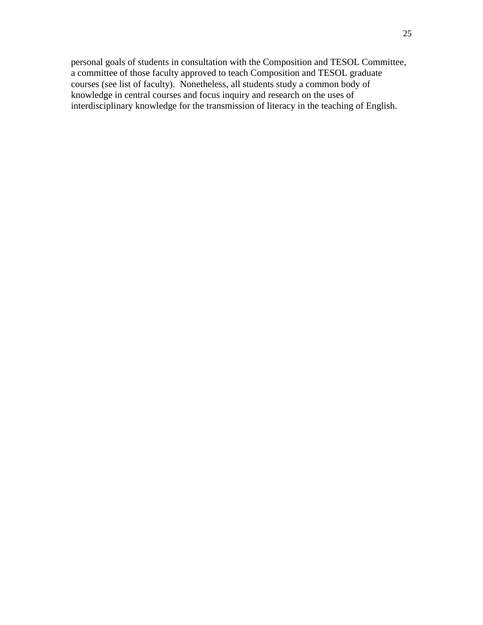personal goals of students in consultation with the Composition and TESOL Committee, a committee of those faculty approved to teach Composition and TESOL graduate courses (see list of faculty). Nonetheless, all students study a common body of knowledge in central courses and focus inquiry and research on the uses of interdisciplinary knowledge for the transmission of literacy in the teaching of English.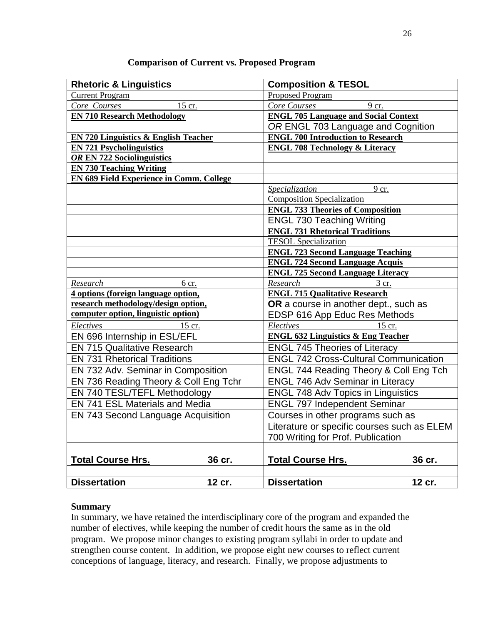| <b>Rhetoric &amp; Linguistics</b>               | <b>Composition &amp; TESOL</b>                    |  |
|-------------------------------------------------|---------------------------------------------------|--|
| <b>Current Program</b>                          | <b>Proposed Program</b>                           |  |
| Core Courses<br>15 cr.                          | Core Courses<br>9 cr.                             |  |
| <b>EN 710 Research Methodology</b>              | <b>ENGL 705 Language and Social Context</b>       |  |
|                                                 | OR ENGL 703 Language and Cognition                |  |
| <b>EN 720 Linguistics &amp; English Teacher</b> | <b>ENGL 700 Introduction to Research</b>          |  |
| <b>EN 721 Psycholinguistics</b>                 | <b>ENGL 708 Technology &amp; Literacy</b>         |  |
| OR EN 722 Sociolinguistics                      |                                                   |  |
| <b>EN 730 Teaching Writing</b>                  |                                                   |  |
| <b>EN 689 Field Experience in Comm. College</b> |                                                   |  |
|                                                 | Specialization<br>9 cr.                           |  |
|                                                 | <b>Composition Specialization</b>                 |  |
|                                                 | <b>ENGL 733 Theories of Composition</b>           |  |
|                                                 | <b>ENGL 730 Teaching Writing</b>                  |  |
|                                                 | <b>ENGL 731 Rhetorical Traditions</b>             |  |
|                                                 | <b>TESOL</b> Specialization                       |  |
|                                                 | <b>ENGL 723 Second Language Teaching</b>          |  |
|                                                 | <b>ENGL 724 Second Language Acquis</b>            |  |
|                                                 | <b>ENGL 725 Second Language Literacy</b>          |  |
| Research<br>6 cr.                               | Research<br>3 cr.                                 |  |
| 4 options (foreign language option,             | <b>ENGL 715 Qualitative Research</b>              |  |
| research methodology/design option,             | OR a course in another dept., such as             |  |
| computer option, linguistic option)             | EDSP 616 App Educ Res Methods                     |  |
| Electives<br>15 cr.                             | Electives<br>15 cr.                               |  |
| EN 696 Internship in ESL/EFL                    | <b>ENGL 632 Linguistics &amp; Eng Teacher</b>     |  |
| <b>EN 715 Qualitative Research</b>              | <b>ENGL 745 Theories of Literacy</b>              |  |
| <b>EN 731 Rhetorical Traditions</b>             | <b>ENGL 742 Cross-Cultural Communication</b>      |  |
| EN 732 Adv. Seminar in Composition              | <b>ENGL 744 Reading Theory &amp; Coll Eng Tch</b> |  |
| EN 736 Reading Theory & Coll Eng Tchr           | <b>ENGL 746 Adv Seminar in Literacy</b>           |  |
| EN 740 TESL/TEFL Methodology                    | <b>ENGL 748 Adv Topics in Linguistics</b>         |  |
| <b>EN 741 ESL Materials and Media</b>           | <b>ENGL 797 Independent Seminar</b>               |  |
| <b>EN 743 Second Language Acquisition</b>       | Courses in other programs such as                 |  |
|                                                 | Literature or specific courses such as ELEM       |  |
|                                                 | 700 Writing for Prof. Publication                 |  |
|                                                 |                                                   |  |
| <b>Total Course Hrs.</b><br>36 cr.              | <b>Total Course Hrs.</b><br>36 cr.                |  |
|                                                 |                                                   |  |
| <b>Dissertation</b><br>12 cr.                   | <b>Dissertation</b><br>12 cr.                     |  |

# **Comparison of Current vs. Proposed Program**

# **Summary**

In summary, we have retained the interdisciplinary core of the program and expanded the number of electives, while keeping the number of credit hours the same as in the old program. We propose minor changes to existing program syllabi in order to update and strengthen course content. In addition, we propose eight new courses to reflect current conceptions of language, literacy, and research. Finally, we propose adjustments to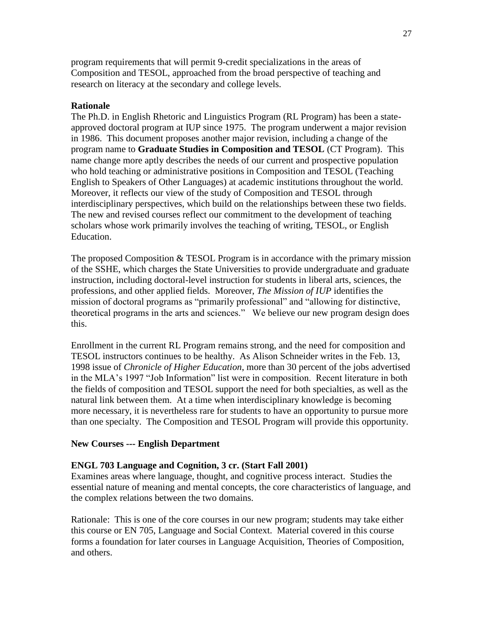program requirements that will permit 9-credit specializations in the areas of Composition and TESOL, approached from the broad perspective of teaching and research on literacy at the secondary and college levels.

## **Rationale**

The Ph.D. in English Rhetoric and Linguistics Program (RL Program) has been a stateapproved doctoral program at IUP since 1975. The program underwent a major revision in 1986. This document proposes another major revision, including a change of the program name to **Graduate Studies in Composition and TESOL** (CT Program). This name change more aptly describes the needs of our current and prospective population who hold teaching or administrative positions in Composition and TESOL (Teaching English to Speakers of Other Languages) at academic institutions throughout the world. Moreover, it reflects our view of the study of Composition and TESOL through interdisciplinary perspectives, which build on the relationships between these two fields. The new and revised courses reflect our commitment to the development of teaching scholars whose work primarily involves the teaching of writing, TESOL, or English Education.

The proposed Composition & TESOL Program is in accordance with the primary mission of the SSHE, which charges the State Universities to provide undergraduate and graduate instruction, including doctoral-level instruction for students in liberal arts, sciences, the professions, and other applied fields. Moreover, *The Mission of IUP* identifies the mission of doctoral programs as "primarily professional" and "allowing for distinctive, theoretical programs in the arts and sciences.‖ We believe our new program design does this.

Enrollment in the current RL Program remains strong, and the need for composition and TESOL instructors continues to be healthy. As Alison Schneider writes in the Feb. 13, 1998 issue of *Chronicle of Higher Education*, more than 30 percent of the jobs advertised in the MLA's 1997 "Job Information" list were in composition. Recent literature in both the fields of composition and TESOL support the need for both specialties, as well as the natural link between them. At a time when interdisciplinary knowledge is becoming more necessary, it is nevertheless rare for students to have an opportunity to pursue more than one specialty. The Composition and TESOL Program will provide this opportunity.

#### **New Courses --- English Department**

#### **ENGL 703 Language and Cognition, 3 cr. (Start Fall 2001)**

Examines areas where language, thought, and cognitive process interact. Studies the essential nature of meaning and mental concepts, the core characteristics of language, and the complex relations between the two domains.

Rationale: This is one of the core courses in our new program; students may take either this course or EN 705, Language and Social Context. Material covered in this course forms a foundation for later courses in Language Acquisition, Theories of Composition, and others.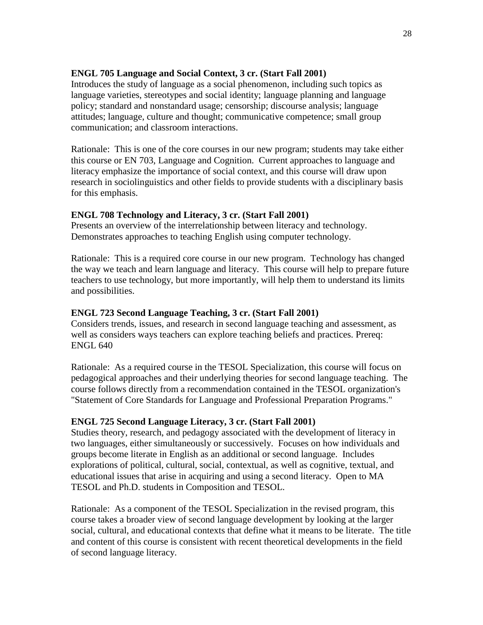# **ENGL 705 Language and Social Context, 3 cr. (Start Fall 2001)**

Introduces the study of language as a social phenomenon, including such topics as language varieties, stereotypes and social identity; language planning and language policy; standard and nonstandard usage; censorship; discourse analysis; language attitudes; language, culture and thought; communicative competence; small group communication; and classroom interactions.

Rationale: This is one of the core courses in our new program; students may take either this course or EN 703, Language and Cognition. Current approaches to language and literacy emphasize the importance of social context, and this course will draw upon research in sociolinguistics and other fields to provide students with a disciplinary basis for this emphasis.

# **ENGL 708 Technology and Literacy, 3 cr. (Start Fall 2001)**

Presents an overview of the interrelationship between literacy and technology. Demonstrates approaches to teaching English using computer technology.

Rationale: This is a required core course in our new program. Technology has changed the way we teach and learn language and literacy. This course will help to prepare future teachers to use technology, but more importantly, will help them to understand its limits and possibilities.

# **ENGL 723 Second Language Teaching, 3 cr. (Start Fall 2001)**

Considers trends, issues, and research in second language teaching and assessment, as well as considers ways teachers can explore teaching beliefs and practices. Prereq: ENGL 640

Rationale: As a required course in the TESOL Specialization, this course will focus on pedagogical approaches and their underlying theories for second language teaching. The course follows directly from a recommendation contained in the TESOL organization's "Statement of Core Standards for Language and Professional Preparation Programs."

# **ENGL 725 Second Language Literacy, 3 cr. (Start Fall 2001)**

Studies theory, research, and pedagogy associated with the development of literacy in two languages, either simultaneously or successively. Focuses on how individuals and groups become literate in English as an additional or second language. Includes explorations of political, cultural, social, contextual, as well as cognitive, textual, and educational issues that arise in acquiring and using a second literacy. Open to MA TESOL and Ph.D. students in Composition and TESOL.

Rationale: As a component of the TESOL Specialization in the revised program, this course takes a broader view of second language development by looking at the larger social, cultural, and educational contexts that define what it means to be literate. The title and content of this course is consistent with recent theoretical developments in the field of second language literacy.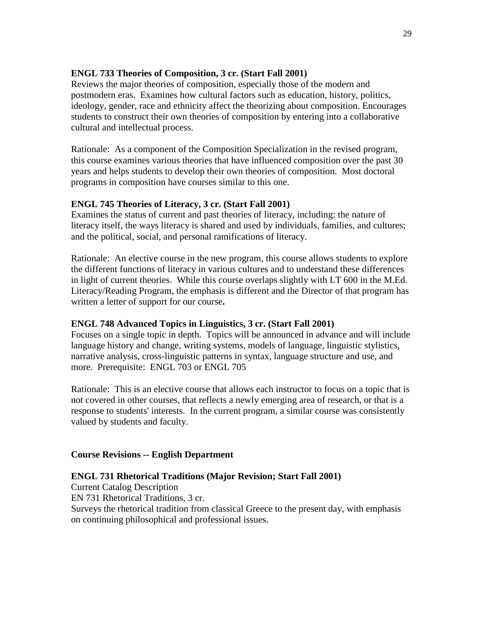# **ENGL 733 Theories of Composition, 3 cr. (Start Fall 2001)**

Reviews the major theories of composition, especially those of the modern and postmodern eras. Examines how cultural factors such as education, history, politics, ideology, gender, race and ethnicity affect the theorizing about composition. Encourages students to construct their own theories of composition by entering into a collaborative cultural and intellectual process.

Rationale: As a component of the Composition Specialization in the revised program, this course examines various theories that have influenced composition over the past 30 years and helps students to develop their own theories of composition. Most doctoral programs in composition have courses similar to this one.

# **ENGL 745 Theories of Literacy, 3 cr. (Start Fall 2001)**

Examines the status of current and past theories of literacy, including: the nature of literacy itself, the ways literacy is shared and used by individuals, families, and cultures; and the political, social, and personal ramifications of literacy.

Rationale: An elective course in the new program, this course allows students to explore the different functions of literacy in various cultures and to understand these differences in light of current theories. While this course overlaps slightly with LT 600 in the M.Ed. Literacy/Reading Program, the emphasis is different and the Director of that program has written a letter of support for our course**.**

#### **ENGL 748 Advanced Topics in Linguistics, 3 cr. (Start Fall 2001)**

Focuses on a single topic in depth. Topics will be announced in advance and will include language history and change, writing systems, models of language, linguistic stylistics, narrative analysis, cross-linguistic patterns in syntax, language structure and use, and more. Prerequisite: ENGL 703 or ENGL 705

Rationale: This is an elective course that allows each instructor to focus on a topic that is not covered in other courses, that reflects a newly emerging area of research, or that is a response to students' interests. In the current program, a similar course was consistently valued by students and faculty.

#### **Course Revisions -- English Department**

#### **ENGL 731 Rhetorical Traditions (Major Revision; Start Fall 2001)**

Current Catalog Description

EN 731 Rhetorical Traditions, 3 cr.

Surveys the rhetorical tradition from classical Greece to the present day, with emphasis on continuing philosophical and professional issues.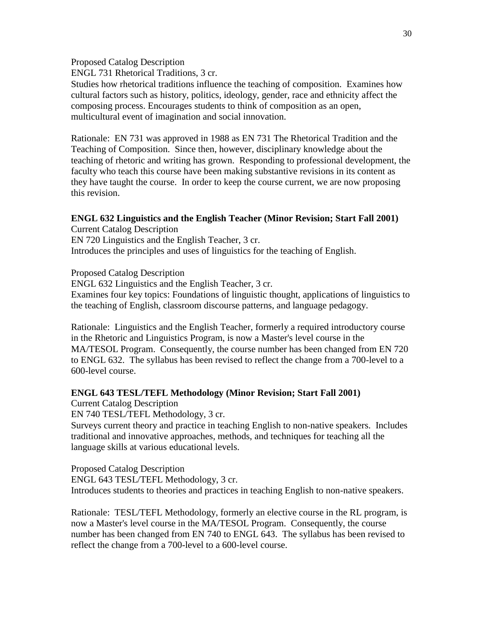Proposed Catalog Description

ENGL 731 Rhetorical Traditions, 3 cr.

Studies how rhetorical traditions influence the teaching of composition. Examines how cultural factors such as history, politics, ideology, gender, race and ethnicity affect the composing process. Encourages students to think of composition as an open, multicultural event of imagination and social innovation.

Rationale: EN 731 was approved in 1988 as EN 731 The Rhetorical Tradition and the Teaching of Composition. Since then, however, disciplinary knowledge about the teaching of rhetoric and writing has grown. Responding to professional development, the faculty who teach this course have been making substantive revisions in its content as they have taught the course. In order to keep the course current, we are now proposing this revision.

# **ENGL 632 Linguistics and the English Teacher (Minor Revision; Start Fall 2001)**

Current Catalog Description EN 720 Linguistics and the English Teacher, 3 cr. Introduces the principles and uses of linguistics for the teaching of English.

Proposed Catalog Description

ENGL 632 Linguistics and the English Teacher, 3 cr.

Examines four key topics: Foundations of linguistic thought, applications of linguistics to the teaching of English, classroom discourse patterns, and language pedagogy.

Rationale: Linguistics and the English Teacher, formerly a required introductory course in the Rhetoric and Linguistics Program, is now a Master's level course in the MA/TESOL Program. Consequently, the course number has been changed from EN 720 to ENGL 632. The syllabus has been revised to reflect the change from a 700-level to a 600-level course.

# **ENGL 643 TESL/TEFL Methodology (Minor Revision; Start Fall 2001)**

Current Catalog Description

EN 740 TESL/TEFL Methodology, 3 cr.

Surveys current theory and practice in teaching English to non-native speakers. Includes traditional and innovative approaches, methods, and techniques for teaching all the language skills at various educational levels.

Proposed Catalog Description ENGL 643 TESL/TEFL Methodology, 3 cr. Introduces students to theories and practices in teaching English to non-native speakers.

Rationale: TESL/TEFL Methodology, formerly an elective course in the RL program, is now a Master's level course in the MA/TESOL Program. Consequently, the course number has been changed from EN 740 to ENGL 643. The syllabus has been revised to reflect the change from a 700-level to a 600-level course.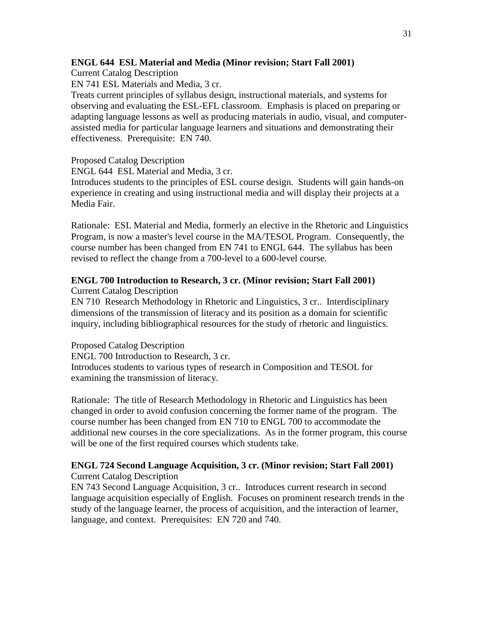### **ENGL 644 ESL Material and Media (Minor revision; Start Fall 2001)**

Current Catalog Description

EN 741 ESL Materials and Media, 3 cr.

Treats current principles of syllabus design, instructional materials, and systems for observing and evaluating the ESL-EFL classroom. Emphasis is placed on preparing or adapting language lessons as well as producing materials in audio, visual, and computerassisted media for particular language learners and situations and demonstrating their effectiveness. Prerequisite: EN 740.

Proposed Catalog Description

ENGL 644 ESL Material and Media, 3 cr.

Introduces students to the principles of ESL course design. Students will gain hands-on experience in creating and using instructional media and will display their projects at a Media Fair.

Rationale: ESL Material and Media, formerly an elective in the Rhetoric and Linguistics Program, is now a master's level course in the MA/TESOL Program. Consequently, the course number has been changed from EN 741 to ENGL 644. The syllabus has been revised to reflect the change from a 700-level to a 600-level course.

# **ENGL 700 Introduction to Research, 3 cr. (Minor revision; Start Fall 2001)**

Current Catalog Description

EN 710 Research Methodology in Rhetoric and Linguistics, 3 cr.. Interdisciplinary dimensions of the transmission of literacy and its position as a domain for scientific inquiry, including bibliographical resources for the study of rhetoric and linguistics.

Proposed Catalog Description ENGL 700 Introduction to Research, 3 cr. Introduces students to various types of research in Composition and TESOL for examining the transmission of literacy.

Rationale: The title of Research Methodology in Rhetoric and Linguistics has been changed in order to avoid confusion concerning the former name of the program. The course number has been changed from EN 710 to ENGL 700 to accommodate the additional new courses in the core specializations. As in the former program, this course will be one of the first required courses which students take.

#### **ENGL 724 Second Language Acquisition, 3 cr. (Minor revision; Start Fall 2001)** Current Catalog Description

EN 743 Second Language Acquisition, 3 cr.. Introduces current research in second language acquisition especially of English. Focuses on prominent research trends in the study of the language learner, the process of acquisition, and the interaction of learner, language, and context. Prerequisites: EN 720 and 740.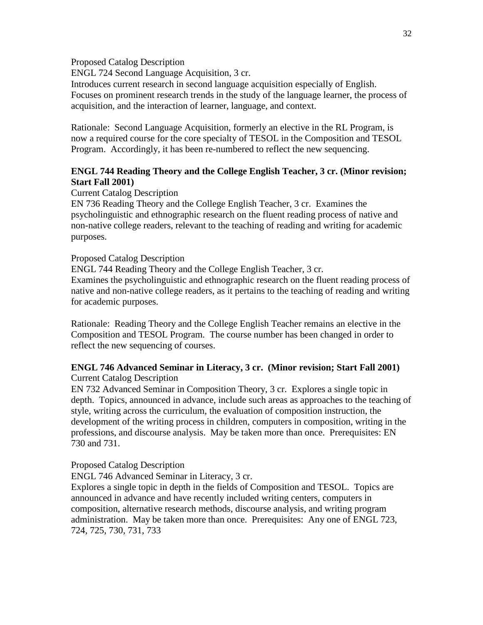Proposed Catalog Description

ENGL 724 Second Language Acquisition, 3 cr.

Introduces current research in second language acquisition especially of English. Focuses on prominent research trends in the study of the language learner, the process of acquisition, and the interaction of learner, language, and context.

Rationale: Second Language Acquisition, formerly an elective in the RL Program, is now a required course for the core specialty of TESOL in the Composition and TESOL Program. Accordingly, it has been re-numbered to reflect the new sequencing.

# **ENGL 744 Reading Theory and the College English Teacher, 3 cr. (Minor revision; Start Fall 2001)**

Current Catalog Description

EN 736 Reading Theory and the College English Teacher, 3 cr. Examines the psycholinguistic and ethnographic research on the fluent reading process of native and non-native college readers, relevant to the teaching of reading and writing for academic purposes.

### Proposed Catalog Description

ENGL 744 Reading Theory and the College English Teacher, 3 cr. Examines the psycholinguistic and ethnographic research on the fluent reading process of native and non-native college readers, as it pertains to the teaching of reading and writing for academic purposes.

Rationale: Reading Theory and the College English Teacher remains an elective in the Composition and TESOL Program. The course number has been changed in order to reflect the new sequencing of courses.

#### **ENGL 746 Advanced Seminar in Literacy, 3 cr. (Minor revision; Start Fall 2001)** Current Catalog Description

EN 732 Advanced Seminar in Composition Theory, 3 cr. Explores a single topic in depth. Topics, announced in advance, include such areas as approaches to the teaching of style, writing across the curriculum, the evaluation of composition instruction, the development of the writing process in children, computers in composition, writing in the professions, and discourse analysis. May be taken more than once. Prerequisites: EN 730 and 731.

# Proposed Catalog Description

ENGL 746 Advanced Seminar in Literacy, 3 cr.

Explores a single topic in depth in the fields of Composition and TESOL. Topics are announced in advance and have recently included writing centers, computers in composition, alternative research methods, discourse analysis, and writing program administration. May be taken more than once. Prerequisites: Any one of ENGL 723, 724, 725, 730, 731, 733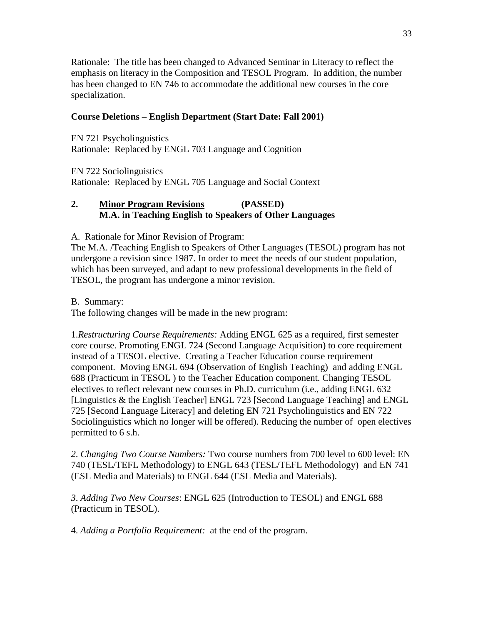Rationale: The title has been changed to Advanced Seminar in Literacy to reflect the emphasis on literacy in the Composition and TESOL Program. In addition, the number has been changed to EN 746 to accommodate the additional new courses in the core specialization.

# **Course Deletions – English Department (Start Date: Fall 2001)**

EN 721 Psycholinguistics Rationale: Replaced by ENGL 703 Language and Cognition

EN 722 Sociolinguistics

Rationale: Replaced by ENGL 705 Language and Social Context

# **2. Minor Program Revisions (PASSED) M.A. in Teaching English to Speakers of Other Languages**

A. Rationale for Minor Revision of Program:

The M.A. /Teaching English to Speakers of Other Languages (TESOL) program has not undergone a revision since 1987. In order to meet the needs of our student population, which has been surveyed, and adapt to new professional developments in the field of TESOL, the program has undergone a minor revision.

B. Summary:

The following changes will be made in the new program:

1.*Restructuring Course Requirements:* Adding ENGL 625 as a required, first semester core course. Promoting ENGL 724 (Second Language Acquisition) to core requirement instead of a TESOL elective. Creating a Teacher Education course requirement component. Moving ENGL 694 (Observation of English Teaching) and adding ENGL 688 (Practicum in TESOL ) to the Teacher Education component. Changing TESOL electives to reflect relevant new courses in Ph.D. curriculum (i.e., adding ENGL 632 [Linguistics & the English Teacher] ENGL 723 [Second Language Teaching] and ENGL 725 [Second Language Literacy] and deleting EN 721 Psycholinguistics and EN 722 Sociolinguistics which no longer will be offered). Reducing the number of open electives permitted to 6 s.h.

*2*. *Changing Two Course Numbers:* Two course numbers from 700 level to 600 level: EN 740 (TESL/TEFL Methodology) to ENGL 643 (TESL/TEFL Methodology) and EN 741 (ESL Media and Materials) to ENGL 644 (ESL Media and Materials).

*3*. *Adding Two New Courses*: ENGL 625 (Introduction to TESOL) and ENGL 688 (Practicum in TESOL).

4. *Adding a Portfolio Requirement:* at the end of the program.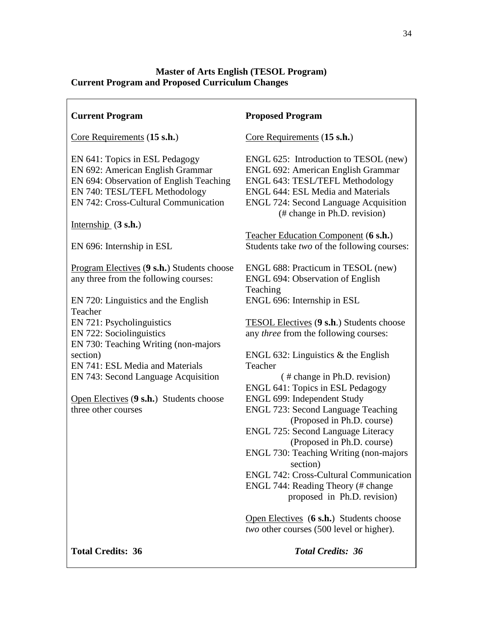# **Master of Arts English (TESOL Program) Current Program and Proposed Curriculum Changes**

| <b>Current Program</b>                                                                                                                                                                 | <b>Proposed Program</b>                                                                                                                                                                                                                    |
|----------------------------------------------------------------------------------------------------------------------------------------------------------------------------------------|--------------------------------------------------------------------------------------------------------------------------------------------------------------------------------------------------------------------------------------------|
| Core Requirements (15 s.h.)                                                                                                                                                            | Core Requirements (15 s.h.)                                                                                                                                                                                                                |
| EN 641: Topics in ESL Pedagogy<br>EN 692: American English Grammar<br>EN 694: Observation of English Teaching<br>EN 740: TESL/TEFL Methodology<br>EN 742: Cross-Cultural Communication | ENGL 625: Introduction to TESOL (new)<br>ENGL 692: American English Grammar<br>ENGL 643: TESL/TEFL Methodology<br><b>ENGL 644: ESL Media and Materials</b><br><b>ENGL 724: Second Language Acquisition</b><br>(# change in Ph.D. revision) |
| Internship $(3 s.h.)$                                                                                                                                                                  | Teacher Education Component (6 s.h.)                                                                                                                                                                                                       |
| EN 696: Internship in ESL                                                                                                                                                              | Students take two of the following courses:                                                                                                                                                                                                |
| Program Electives (9 s.h.) Students choose<br>any three from the following courses:                                                                                                    | ENGL 688: Practicum in TESOL (new)<br><b>ENGL 694: Observation of English</b><br>Teaching                                                                                                                                                  |
| EN 720: Linguistics and the English<br>Teacher                                                                                                                                         | ENGL 696: Internship in ESL                                                                                                                                                                                                                |
| EN 721: Psycholinguistics<br>EN 722: Sociolinguistics<br>EN 730: Teaching Writing (non-majors                                                                                          | TESOL Electives (9 s.h.) Students choose<br>any <i>three</i> from the following courses:                                                                                                                                                   |
| section)                                                                                                                                                                               | ENGL 632: Linguistics $&$ the English                                                                                                                                                                                                      |
| EN 741: ESL Media and Materials<br>EN 743: Second Language Acquisition                                                                                                                 | Teacher<br>(# change in Ph.D. revision)<br>ENGL 641: Topics in ESL Pedagogy                                                                                                                                                                |
| Open Electives (9 s.h.) Students choose<br>three other courses                                                                                                                         | ENGL 699: Independent Study<br><b>ENGL 723: Second Language Teaching</b><br>(Proposed in Ph.D. course)<br>ENGL 725: Second Language Literacy<br>(Proposed in Ph.D. course)                                                                 |
|                                                                                                                                                                                        | ENGL 730: Teaching Writing (non-majors<br>section)                                                                                                                                                                                         |
|                                                                                                                                                                                        | <b>ENGL 742: Cross-Cultural Communication</b><br>ENGL 744: Reading Theory (# change<br>proposed in Ph.D. revision)                                                                                                                         |
|                                                                                                                                                                                        | Open Electives (6 s.h.) Students choose<br>two other courses (500 level or higher).                                                                                                                                                        |

**Total Credits: 36** *Total Credits: 36*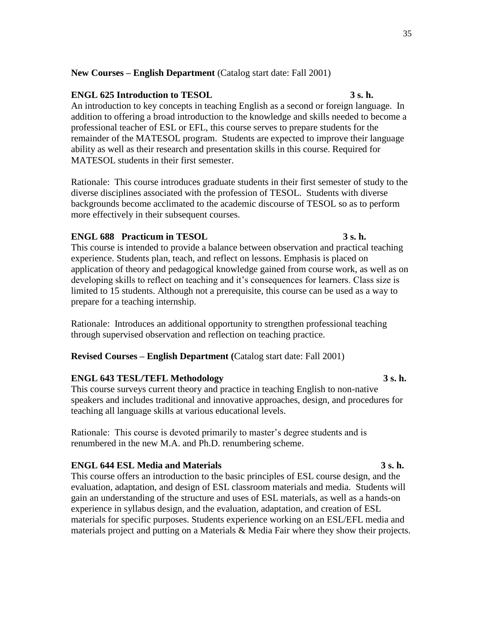### **New Courses – English Department** (Catalog start date: Fall 2001)

### **ENGL 625 Introduction to TESOL 3 s. h.**

An introduction to key concepts in teaching English as a second or foreign language. In addition to offering a broad introduction to the knowledge and skills needed to become a professional teacher of ESL or EFL, this course serves to prepare students for the remainder of the MATESOL program. Students are expected to improve their language ability as well as their research and presentation skills in this course. Required for MATESOL students in their first semester.

Rationale: This course introduces graduate students in their first semester of study to the diverse disciplines associated with the profession of TESOL. Students with diverse backgrounds become acclimated to the academic discourse of TESOL so as to perform more effectively in their subsequent courses.

#### **ENGL 688 Practicum in TESOL 3 s. h.**

This course is intended to provide a balance between observation and practical teaching experience. Students plan, teach, and reflect on lessons. Emphasis is placed on application of theory and pedagogical knowledge gained from course work, as well as on developing skills to reflect on teaching and it's consequences for learners. Class size is limited to 15 students. Although not a prerequisite, this course can be used as a way to prepare for a teaching internship.

Rationale: Introduces an additional opportunity to strengthen professional teaching through supervised observation and reflection on teaching practice.

#### **Revised Courses – English Department (**Catalog start date: Fall 2001)

#### **ENGL 643 TESL/TEFL Methodology 3 s. h.**

This course surveys current theory and practice in teaching English to non-native speakers and includes traditional and innovative approaches, design, and procedures for teaching all language skills at various educational levels.

Rationale: This course is devoted primarily to master's degree students and is renumbered in the new M.A. and Ph.D. renumbering scheme.

#### **ENGL 644 ESL Media and Materials 3 s. h.**

This course offers an introduction to the basic principles of ESL course design, and the evaluation, adaptation, and design of ESL classroom materials and media. Students will gain an understanding of the structure and uses of ESL materials, as well as a hands-on experience in syllabus design, and the evaluation, adaptation, and creation of ESL materials for specific purposes. Students experience working on an ESL/EFL media and materials project and putting on a Materials & Media Fair where they show their projects.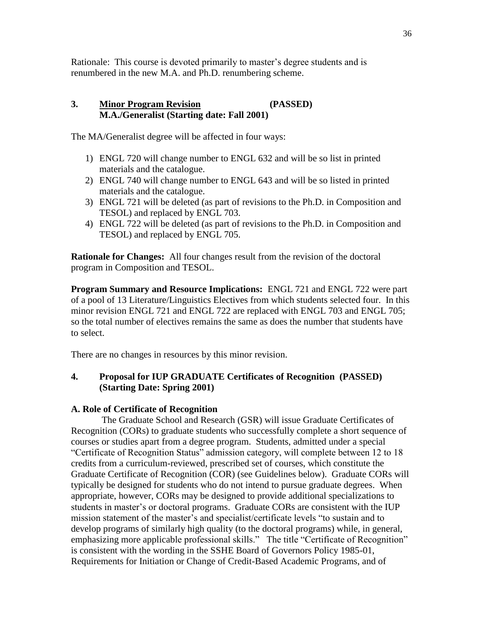Rationale: This course is devoted primarily to master's degree students and is renumbered in the new M.A. and Ph.D. renumbering scheme.

# **3. Minor Program Revision (PASSED) M.A./Generalist (Starting date: Fall 2001)**

The MA/Generalist degree will be affected in four ways:

- 1) ENGL 720 will change number to ENGL 632 and will be so list in printed materials and the catalogue.
- 2) ENGL 740 will change number to ENGL 643 and will be so listed in printed materials and the catalogue.
- 3) ENGL 721 will be deleted (as part of revisions to the Ph.D. in Composition and TESOL) and replaced by ENGL 703.
- 4) ENGL 722 will be deleted (as part of revisions to the Ph.D. in Composition and TESOL) and replaced by ENGL 705.

**Rationale for Changes:** All four changes result from the revision of the doctoral program in Composition and TESOL.

**Program Summary and Resource Implications:** ENGL 721 and ENGL 722 were part of a pool of 13 Literature/Linguistics Electives from which students selected four. In this minor revision ENGL 721 and ENGL 722 are replaced with ENGL 703 and ENGL 705; so the total number of electives remains the same as does the number that students have to select.

There are no changes in resources by this minor revision.

# **4. Proposal for IUP GRADUATE Certificates of Recognition (PASSED) (Starting Date: Spring 2001)**

# **A. Role of Certificate of Recognition**

The Graduate School and Research (GSR) will issue Graduate Certificates of Recognition (CORs) to graduate students who successfully complete a short sequence of courses or studies apart from a degree program. Students, admitted under a special ―Certificate of Recognition Status‖ admission category, will complete between 12 to 18 credits from a curriculum-reviewed, prescribed set of courses, which constitute the Graduate Certificate of Recognition (COR) (see Guidelines below). Graduate CORs will typically be designed for students who do not intend to pursue graduate degrees. When appropriate, however, CORs may be designed to provide additional specializations to students in master's or doctoral programs. Graduate CORs are consistent with the IUP mission statement of the master's and specialist/certificate levels "to sustain and to develop programs of similarly high quality (to the doctoral programs) while, in general, emphasizing more applicable professional skills." The title "Certificate of Recognition" is consistent with the wording in the SSHE Board of Governors Policy 1985-01, Requirements for Initiation or Change of Credit-Based Academic Programs, and of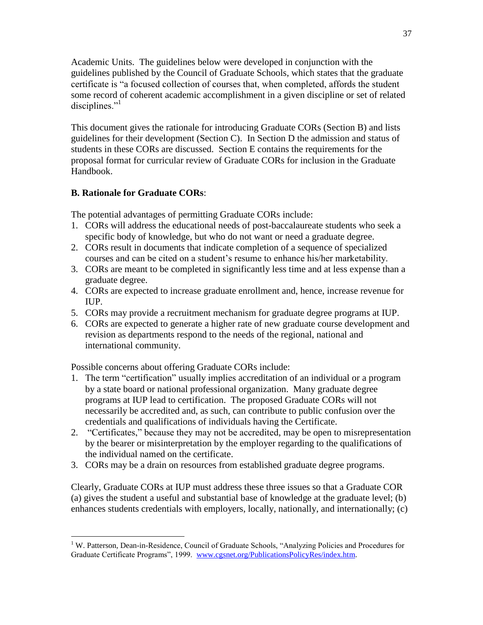Academic Units. The guidelines below were developed in conjunction with the guidelines published by the Council of Graduate Schools, which states that the graduate certificate is "a focused collection of courses that, when completed, affords the student some record of coherent academic accomplishment in a given discipline or set of related disciplines."

This document gives the rationale for introducing Graduate CORs (Section B) and lists guidelines for their development (Section C). In Section D the admission and status of students in these CORs are discussed. Section E contains the requirements for the proposal format for curricular review of Graduate CORs for inclusion in the Graduate Handbook.

# **B. Rationale for Graduate CORs**:

The potential advantages of permitting Graduate CORs include:

- 1. CORs will address the educational needs of post-baccalaureate students who seek a specific body of knowledge, but who do not want or need a graduate degree.
- 2. CORs result in documents that indicate completion of a sequence of specialized courses and can be cited on a student's resume to enhance his/her marketability.
- 3. CORs are meant to be completed in significantly less time and at less expense than a graduate degree.
- 4. CORs are expected to increase graduate enrollment and, hence, increase revenue for  $\Pi$   $\Pi$
- 5. CORs may provide a recruitment mechanism for graduate degree programs at IUP.
- 6. CORs are expected to generate a higher rate of new graduate course development and revision as departments respond to the needs of the regional, national and international community.

Possible concerns about offering Graduate CORs include:

- 1. The term "certification" usually implies accreditation of an individual or a program by a state board or national professional organization. Many graduate degree programs at IUP lead to certification. The proposed Graduate CORs will not necessarily be accredited and, as such, can contribute to public confusion over the credentials and qualifications of individuals having the Certificate.
- 2. "Certificates," because they may not be accredited, may be open to misrepresentation by the bearer or misinterpretation by the employer regarding to the qualifications of the individual named on the certificate.
- 3. CORs may be a drain on resources from established graduate degree programs.

Clearly, Graduate CORs at IUP must address these three issues so that a Graduate COR (a) gives the student a useful and substantial base of knowledge at the graduate level; (b) enhances students credentials with employers, locally, nationally, and internationally; (c)

 $\overline{a}$ <sup>1</sup> W. Patterson, Dean-in-Residence, Council of Graduate Schools, "Analyzing Policies and Procedures for Graduate Certificate Programs", 1999. [www.cgsnet.org/PublicationsPolicyRes/index.htm.](http://www.cgsnet.org/PublicationsPolicyRes/index.htm)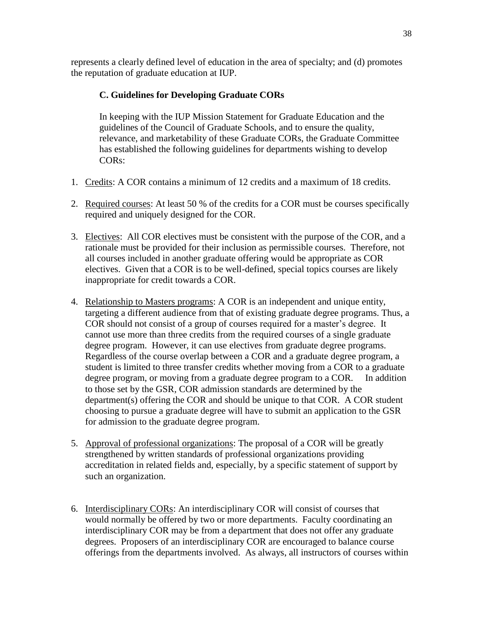represents a clearly defined level of education in the area of specialty; and (d) promotes the reputation of graduate education at IUP.

# **C. Guidelines for Developing Graduate CORs**

In keeping with the IUP Mission Statement for Graduate Education and the guidelines of the Council of Graduate Schools, and to ensure the quality, relevance, and marketability of these Graduate CORs, the Graduate Committee has established the following guidelines for departments wishing to develop CORs:

- 1. Credits: A COR contains a minimum of 12 credits and a maximum of 18 credits.
- 2. Required courses: At least 50 % of the credits for a COR must be courses specifically required and uniquely designed for the COR.
- 3. Electives: All COR electives must be consistent with the purpose of the COR, and a rationale must be provided for their inclusion as permissible courses. Therefore, not all courses included in another graduate offering would be appropriate as COR electives. Given that a COR is to be well-defined, special topics courses are likely inappropriate for credit towards a COR.
- 4. Relationship to Masters programs: A COR is an independent and unique entity, targeting a different audience from that of existing graduate degree programs. Thus, a COR should not consist of a group of courses required for a master's degree. It cannot use more than three credits from the required courses of a single graduate degree program. However, it can use electives from graduate degree programs. Regardless of the course overlap between a COR and a graduate degree program, a student is limited to three transfer credits whether moving from a COR to a graduate degree program, or moving from a graduate degree program to a COR. In addition to those set by the GSR*,* COR admission standards are determined by the department(s) offering the COR and should be unique to that COR. A COR student choosing to pursue a graduate degree will have to submit an application to the GSR for admission to the graduate degree program.
- 5. Approval of professional organizations: The proposal of a COR will be greatly strengthened by written standards of professional organizations providing accreditation in related fields and, especially, by a specific statement of support by such an organization.
- 6. Interdisciplinary CORs: An interdisciplinary COR will consist of courses that would normally be offered by two or more departments. Faculty coordinating an interdisciplinary COR may be from a department that does not offer any graduate degrees. Proposers of an interdisciplinary COR are encouraged to balance course offerings from the departments involved.As always, all instructors of courses within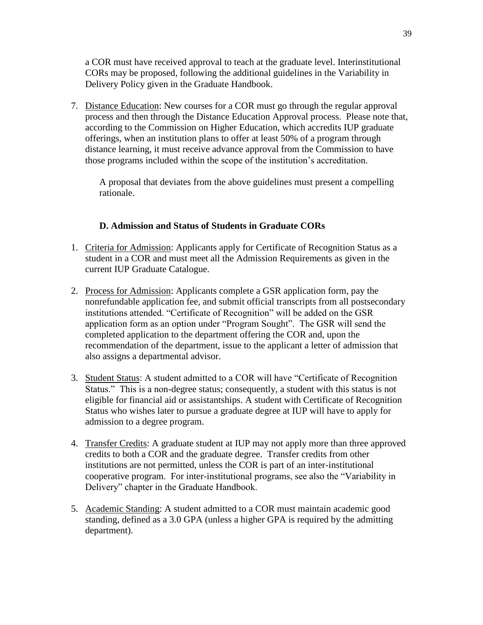a COR must have received approval to teach at the graduate level. Interinstitutional CORs may be proposed, following the additional guidelines in the Variability in Delivery Policy given in the Graduate Handbook.

7. Distance Education: New courses for a COR must go through the regular approval process and then through the Distance Education Approval process. Please note that, according to the Commission on Higher Education, which accredits IUP graduate offerings, when an institution plans to offer at least 50% of a program through distance learning, it must receive advance approval from the Commission to have those programs included within the scope of the institution's accreditation.

A proposal that deviates from the above guidelines must present a compelling rationale.

# **D. Admission and Status of Students in Graduate CORs**

- 1. Criteria for Admission: Applicants apply for Certificate of Recognition Status as a student in a COR and must meet all the Admission Requirements as given in the current IUP Graduate Catalogue.
- 2. Process for Admission: Applicants complete a GSR application form, pay the nonrefundable application fee, and submit official transcripts from all postsecondary institutions attended. "Certificate of Recognition" will be added on the GSR application form as an option under "Program Sought". The GSR will send the completed application to the department offering the COR and, upon the recommendation of the department, issue to the applicant a letter of admission that also assigns a departmental advisor.
- 3. Student Status: A student admitted to a COR will have "Certificate of Recognition" Status." This is a non-degree status; consequently, a student with this status is not eligible for financial aid or assistantships. A student with Certificate of Recognition Status who wishes later to pursue a graduate degree at IUP will have to apply for admission to a degree program.
- 4. Transfer Credits: A graduate student at IUP may not apply more than three approved credits to both a COR and the graduate degree. Transfer credits from other institutions are not permitted, unless the COR is part of an inter-institutional cooperative program. For inter-institutional programs, see also the "Variability in Delivery" chapter in the Graduate Handbook.
- 5. Academic Standing: A student admitted to a COR must maintain academic good standing, defined as a 3.0 GPA (unless a higher GPA is required by the admitting department).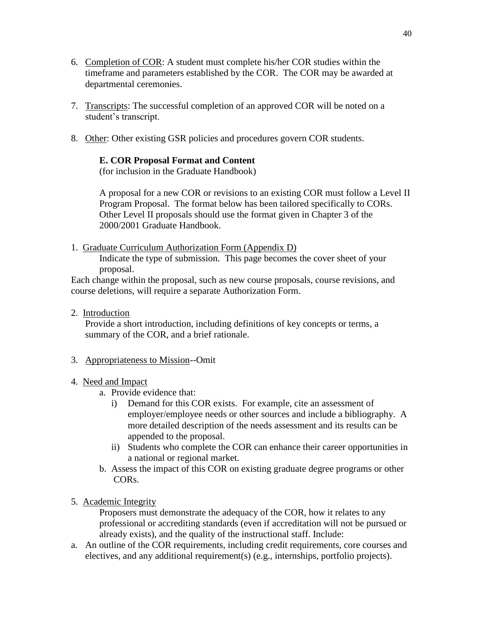- 6. Completion of COR: A student must complete his/her COR studies within the timeframe and parameters established by the COR. The COR may be awarded at departmental ceremonies.
- 7. Transcripts: The successful completion of an approved COR will be noted on a student's transcript.
- 8. Other: Other existing GSR policies and procedures govern COR students.

# **E. COR Proposal Format and Content**

(for inclusion in the Graduate Handbook)

A proposal for a new COR or revisions to an existing COR must follow a Level II Program Proposal. The format below has been tailored specifically to CORs. Other Level II proposals should use the format given in Chapter 3 of the 2000/2001 Graduate Handbook.

1. Graduate Curriculum Authorization Form (Appendix D)

Indicate the type of submission. This page becomes the cover sheet of your proposal.

Each change within the proposal, such as new course proposals, course revisions, and course deletions, will require a separate Authorization Form.

2. Introduction

Provide a short introduction, including definitions of key concepts or terms, a summary of the COR, and a brief rationale.

# 3. Appropriateness to Mission--Omit

# 4. Need and Impact

- a. Provide evidence that:
	- i) Demand for this COR exists. For example, cite an assessment of employer/employee needs or other sources and include a bibliography. A more detailed description of the needs assessment and its results can be appended to the proposal.
	- ii) Students who complete the COR can enhance their career opportunities in a national or regional market.
- b. Assess the impact of this COR on existing graduate degree programs or other CORs.
- 5. Academic Integrity

Proposers must demonstrate the adequacy of the COR, how it relates to any professional or accrediting standards (even if accreditation will not be pursued or already exists), and the quality of the instructional staff. Include:

a. An outline of the COR requirements, including credit requirements, core courses and electives, and any additional requirement(s) (e.g., internships, portfolio projects).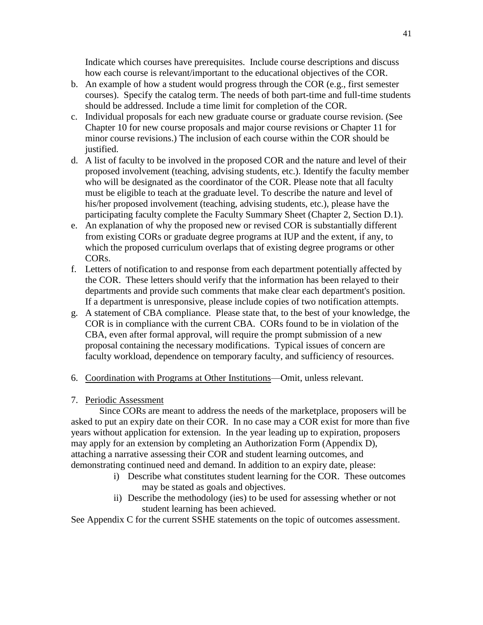Indicate which courses have prerequisites. Include course descriptions and discuss how each course is relevant/important to the educational objectives of the COR.

- b. An example of how a student would progress through the COR (e.g., first semester courses). Specify the catalog term. The needs of both part-time and full-time students should be addressed. Include a time limit for completion of the COR.
- c. Individual proposals for each new graduate course or graduate course revision. (See Chapter 10 for new course proposals and major course revisions or Chapter 11 for minor course revisions.) The inclusion of each course within the COR should be justified.
- d. A list of faculty to be involved in the proposed COR and the nature and level of their proposed involvement (teaching, advising students, etc.). Identify the faculty member who will be designated as the coordinator of the COR. Please note that all faculty must be eligible to teach at the graduate level. To describe the nature and level of his/her proposed involvement (teaching, advising students, etc.), please have the participating faculty complete the Faculty Summary Sheet (Chapter 2, Section D.1).
- e. An explanation of why the proposed new or revised COR is substantially different from existing CORs or graduate degree programs at IUP and the extent, if any, to which the proposed curriculum overlaps that of existing degree programs or other CORs.
- f. Letters of notification to and response from each department potentially affected by the COR. These letters should verify that the information has been relayed to their departments and provide such comments that make clear each department's position. If a department is unresponsive, please include copies of two notification attempts.
- g. A statement of CBA compliance. Please state that, to the best of your knowledge, the COR is in compliance with the current CBA. CORs found to be in violation of the CBA, even after formal approval, will require the prompt submission of a new proposal containing the necessary modifications. Typical issues of concern are faculty workload, dependence on temporary faculty, and sufficiency of resources.
- 6. Coordination with Programs at Other Institutions—Omit, unless relevant.

# 7. Periodic Assessment

 Since CORs are meant to address the needs of the marketplace, proposers will be asked to put an expiry date on their COR. In no case may a COR exist for more than five years without application for extension. In the year leading up to expiration, proposers may apply for an extension by completing an Authorization Form (Appendix D), attaching a narrative assessing their COR and student learning outcomes, and demonstrating continued need and demand. In addition to an expiry date, please:

- i) Describe what constitutes student learning for the COR. These outcomes may be stated as goals and objectives.
- ii) Describe the methodology (ies) to be used for assessing whether or not student learning has been achieved.

See Appendix C for the current SSHE statements on the topic of outcomes assessment.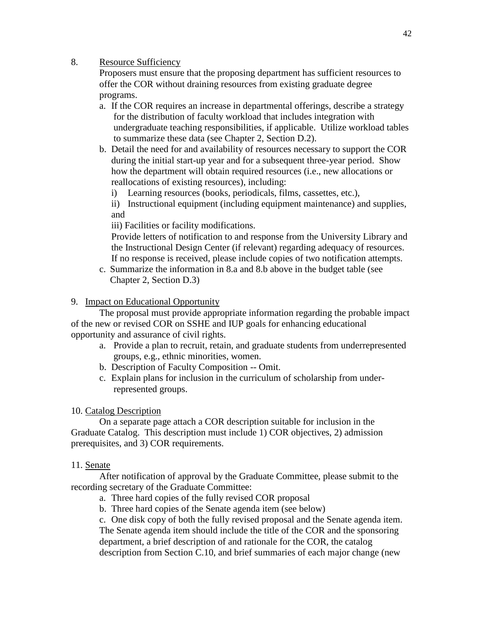8. Resource Sufficiency

Proposers must ensure that the proposing department has sufficient resources to offer the COR without draining resources from existing graduate degree programs.

- a. If the COR requires an increase in departmental offerings, describe a strategy for the distribution of faculty workload that includes integration with undergraduate teaching responsibilities, if applicable. Utilize workload tables to summarize these data (see Chapter 2, Section D.2).
- b. Detail the need for and availability of resources necessary to support the COR during the initial start-up year and for a subsequent three-year period. Show how the department will obtain required resources (i.e., new allocations or reallocations of existing resources), including:
	- i) Learning resources (books, periodicals, films, cassettes, etc.),

ii) Instructional equipment (including equipment maintenance) and supplies, and

iii) Facilities or facility modifications.

Provide letters of notification to and response from the University Library and the Instructional Design Center (if relevant) regarding adequacy of resources. If no response is received, please include copies of two notification attempts.

c. Summarize the information in 8.a and 8.b above in the budget table (see Chapter 2, Section D.3)

# 9. Impact on Educational Opportunity

The proposal must provide appropriate information regarding the probable impact of the new or revised COR on SSHE and IUP goals for enhancing educational opportunity and assurance of civil rights.

- a. Provide a plan to recruit, retain, and graduate students from underrepresented groups, e.g., ethnic minorities, women.
- b. Description of Faculty Composition -- Omit.
- c. Explain plans for inclusion in the curriculum of scholarship from underrepresented groups.

# 10. Catalog Description

On a separate page attach a COR description suitable for inclusion in the Graduate Catalog. This description must include 1) COR objectives, 2) admission prerequisites, and 3) COR requirements.

# 11. Senate

After notification of approval by the Graduate Committee, please submit to the recording secretary of the Graduate Committee:

- a. Three hard copies of the fully revised COR proposal
- b. Three hard copies of the Senate agenda item (see below)

c. One disk copy of both the fully revised proposal and the Senate agenda item. The Senate agenda item should include the title of the COR and the sponsoring department, a brief description of and rationale for the COR, the catalog description from Section C.10, and brief summaries of each major change (new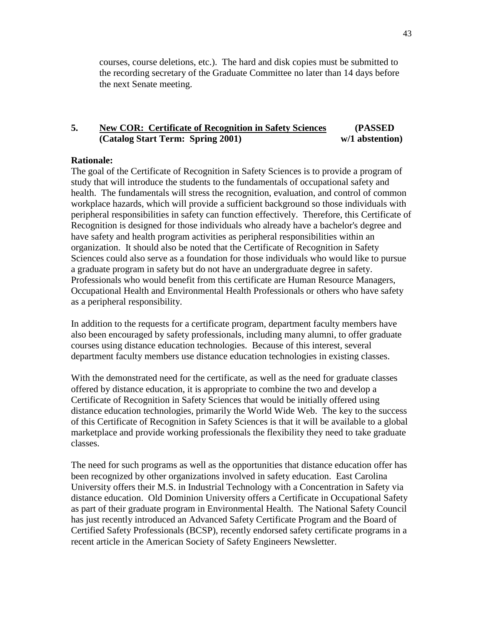courses, course deletions, etc.). The hard and disk copies must be submitted to the recording secretary of the Graduate Committee no later than 14 days before the next Senate meeting.

# **5. New COR: Certificate of Recognition in Safety Sciences (PASSED (Catalog Start Term: Spring 2001) w/1 abstention)**

### **Rationale:**

The goal of the Certificate of Recognition in Safety Sciences is to provide a program of study that will introduce the students to the fundamentals of occupational safety and health. The fundamentals will stress the recognition, evaluation, and control of common workplace hazards, which will provide a sufficient background so those individuals with peripheral responsibilities in safety can function effectively. Therefore, this Certificate of Recognition is designed for those individuals who already have a bachelor's degree and have safety and health program activities as peripheral responsibilities within an organization. It should also be noted that the Certificate of Recognition in Safety Sciences could also serve as a foundation for those individuals who would like to pursue a graduate program in safety but do not have an undergraduate degree in safety. Professionals who would benefit from this certificate are Human Resource Managers, Occupational Health and Environmental Health Professionals or others who have safety as a peripheral responsibility.

In addition to the requests for a certificate program, department faculty members have also been encouraged by safety professionals, including many alumni, to offer graduate courses using distance education technologies. Because of this interest, several department faculty members use distance education technologies in existing classes.

With the demonstrated need for the certificate, as well as the need for graduate classes offered by distance education, it is appropriate to combine the two and develop a Certificate of Recognition in Safety Sciences that would be initially offered using distance education technologies, primarily the World Wide Web. The key to the success of this Certificate of Recognition in Safety Sciences is that it will be available to a global marketplace and provide working professionals the flexibility they need to take graduate classes.

The need for such programs as well as the opportunities that distance education offer has been recognized by other organizations involved in safety education. East Carolina University offers their M.S. in Industrial Technology with a Concentration in Safety via distance education. Old Dominion University offers a Certificate in Occupational Safety as part of their graduate program in Environmental Health. The National Safety Council has just recently introduced an Advanced Safety Certificate Program and the Board of Certified Safety Professionals (BCSP), recently endorsed safety certificate programs in a recent article in the American Society of Safety Engineers Newsletter.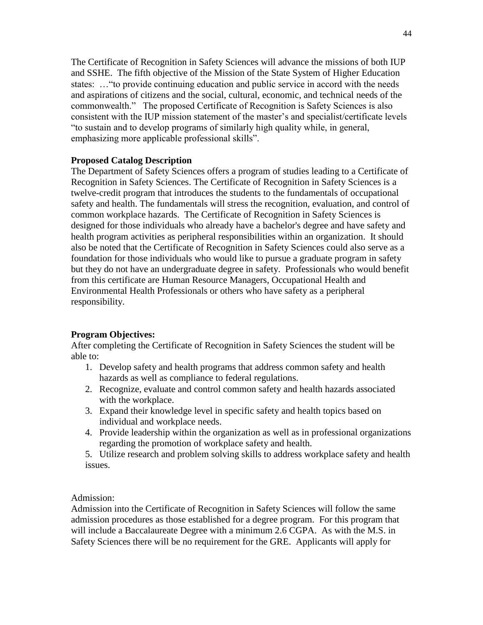The Certificate of Recognition in Safety Sciences will advance the missions of both IUP and SSHE. The fifth objective of the Mission of the State System of Higher Education states: ... "to provide continuing education and public service in accord with the needs and aspirations of citizens and the social, cultural, economic, and technical needs of the commonwealth." The proposed Certificate of Recognition is Safety Sciences is also consistent with the IUP mission statement of the master's and specialist/certificate levels ―to sustain and to develop programs of similarly high quality while, in general, emphasizing more applicable professional skills".

# **Proposed Catalog Description**

The Department of Safety Sciences offers a program of studies leading to a Certificate of Recognition in Safety Sciences. The Certificate of Recognition in Safety Sciences is a twelve-credit program that introduces the students to the fundamentals of occupational safety and health. The fundamentals will stress the recognition, evaluation, and control of common workplace hazards. The Certificate of Recognition in Safety Sciences is designed for those individuals who already have a bachelor's degree and have safety and health program activities as peripheral responsibilities within an organization. It should also be noted that the Certificate of Recognition in Safety Sciences could also serve as a foundation for those individuals who would like to pursue a graduate program in safety but they do not have an undergraduate degree in safety. Professionals who would benefit from this certificate are Human Resource Managers, Occupational Health and Environmental Health Professionals or others who have safety as a peripheral responsibility.

# **Program Objectives:**

After completing the Certificate of Recognition in Safety Sciences the student will be able to:

- 1. Develop safety and health programs that address common safety and health hazards as well as compliance to federal regulations.
- 2. Recognize, evaluate and control common safety and health hazards associated with the workplace.
- 3. Expand their knowledge level in specific safety and health topics based on individual and workplace needs.
- 4. Provide leadership within the organization as well as in professional organizations regarding the promotion of workplace safety and health.
- 5. Utilize research and problem solving skills to address workplace safety and health issues.

Admission:

Admission into the Certificate of Recognition in Safety Sciences will follow the same admission procedures as those established for a degree program. For this program that will include a Baccalaureate Degree with a minimum 2.6 CGPA. As with the M.S. in Safety Sciences there will be no requirement for the GRE. Applicants will apply for